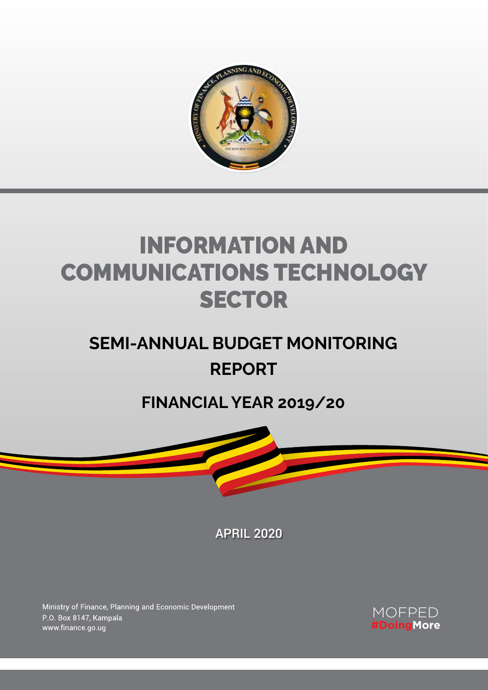

# Information and Communications Technology **SECTOR**

# **SEMI-ANNUAL BUDGET MONITORING REPORT**

## **FINANCIAL YEAR 2019/20**



APRIL 2020

**Information and Communications Technology Sector: Semi-Annual Budget Monitoring Report - FY 2019/20** A

Ministry of Finance, Planning and Economic Development P.O. Box 8147, Kampala www.finance.go.ug

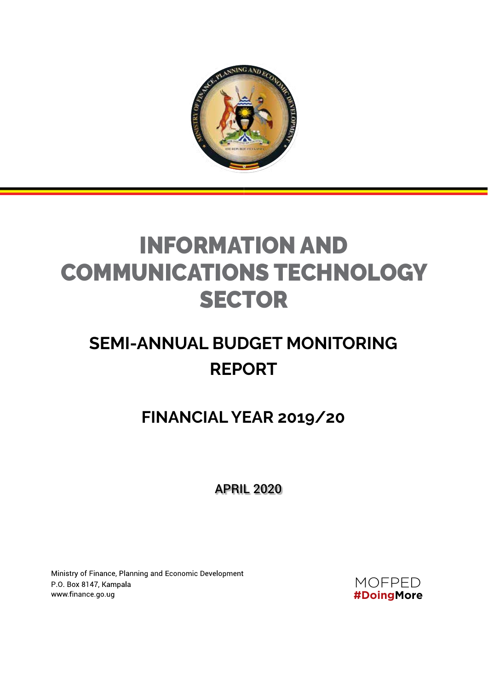

# Information and Communications Technology **SECTOR**

# **SEMI-ANNUAL BUDGET MONITORING REPORT**

## **FINANCIAL YEAR 2019/20**

APRIL 2020

Ministry of Finance, Planning and Economic Development P.O. Box 8147, Kampala www.finance.go.ug

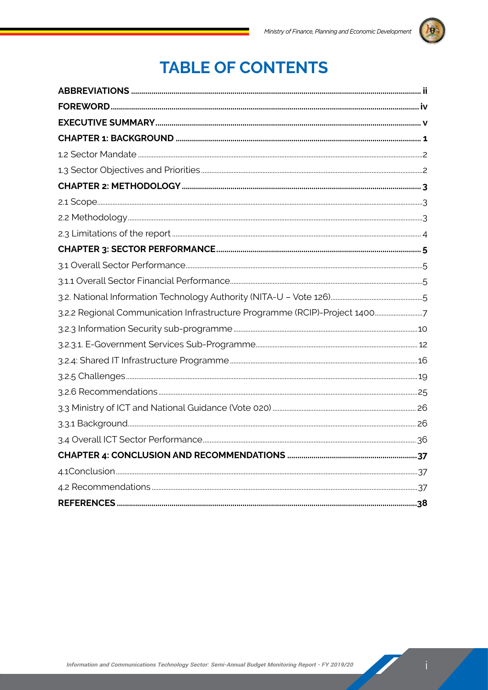

## **TABLE OF CONTENTS**

| 3.2.2 Regional Communication Infrastructure Programme (RCIP)-Project 14007 |  |
|----------------------------------------------------------------------------|--|
|                                                                            |  |
|                                                                            |  |
|                                                                            |  |
|                                                                            |  |
|                                                                            |  |
|                                                                            |  |
|                                                                            |  |
|                                                                            |  |
|                                                                            |  |
|                                                                            |  |
|                                                                            |  |
|                                                                            |  |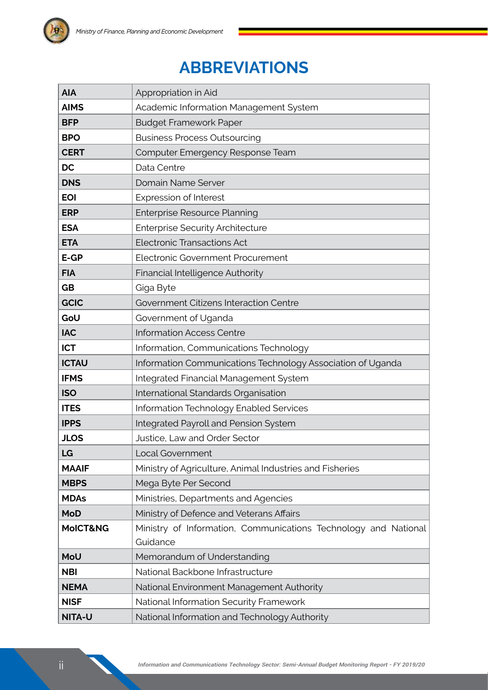## **Abbreviations**

| <b>AIA</b>   | Appropriation in Aid                                            |
|--------------|-----------------------------------------------------------------|
| <b>AIMS</b>  | Academic Information Management System                          |
| <b>BFP</b>   | <b>Budget Framework Paper</b>                                   |
| <b>BPO</b>   | <b>Business Process Outsourcing</b>                             |
| <b>CERT</b>  | Computer Emergency Response Team                                |
| <b>DC</b>    | Data Centre                                                     |
| <b>DNS</b>   | Domain Name Server                                              |
| <b>EOI</b>   | <b>Expression of Interest</b>                                   |
| <b>ERP</b>   | <b>Enterprise Resource Planning</b>                             |
| <b>ESA</b>   | <b>Enterprise Security Architecture</b>                         |
| <b>ETA</b>   | <b>Electronic Transactions Act</b>                              |
| $E-GP$       | Electronic Government Procurement                               |
| <b>FIA</b>   | Financial Intelligence Authority                                |
| <b>GB</b>    | Giga Byte                                                       |
| <b>GCIC</b>  | Government Citizens Interaction Centre                          |
| GoU          | Government of Uganda                                            |
| <b>IAC</b>   | <b>Information Access Centre</b>                                |
| <b>ICT</b>   | Information, Communications Technology                          |
| <b>ICTAU</b> | Information Communications Technology Association of Uganda     |
| <b>IFMS</b>  | Integrated Financial Management System                          |
| <b>ISO</b>   | International Standards Organisation                            |
| <b>ITES</b>  | Information Technology Enabled Services                         |
| <b>IPPS</b>  | Integrated Payroll and Pension System                           |
| <b>JLOS</b>  | Justice, Law and Order Sector                                   |
| LG           | Local Government                                                |
| <b>MAAIF</b> | Ministry of Agriculture, Animal Industries and Fisheries        |
| <b>MBPS</b>  | Mega Byte Per Second                                            |
| <b>MDAs</b>  | Ministries, Departments and Agencies                            |
| <b>MoD</b>   | Ministry of Defence and Veterans Affairs                        |
| MoICT&NG     | Ministry of Information, Communications Technology and National |
|              | Guidance                                                        |
| MoU          | Memorandum of Understanding                                     |
| <b>NBI</b>   | National Backbone Infrastructure                                |
| <b>NEMA</b>  | National Environment Management Authority                       |
| <b>NISF</b>  | National Information Security Framework                         |
| NITA-U       | National Information and Technology Authority                   |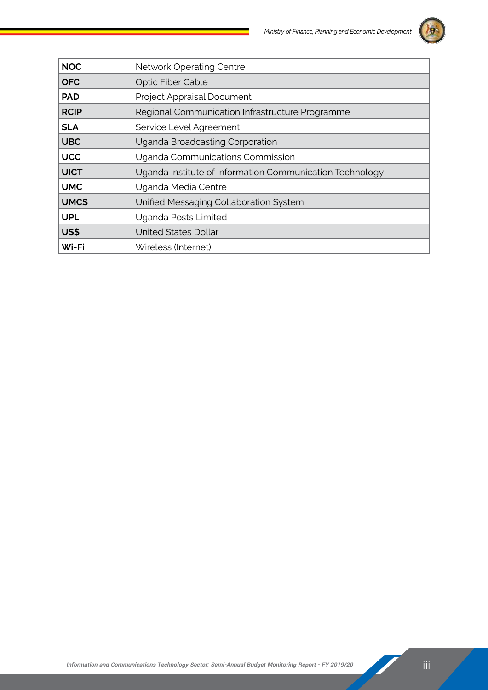

| <b>NOC</b>  | <b>Network Operating Centre</b>                          |
|-------------|----------------------------------------------------------|
| <b>OFC</b>  | <b>Optic Fiber Cable</b>                                 |
| <b>PAD</b>  | Project Appraisal Document                               |
| <b>RCIP</b> | Regional Communication Infrastructure Programme          |
| <b>SLA</b>  | Service Level Agreement                                  |
| <b>UBC</b>  | Uganda Broadcasting Corporation                          |
| <b>UCC</b>  | Uganda Communications Commission                         |
| <b>UICT</b> | Uganda Institute of Information Communication Technology |
| <b>UMC</b>  | Uganda Media Centre                                      |
| <b>UMCS</b> | Unified Messaging Collaboration System                   |
| <b>UPL</b>  | Uganda Posts Limited                                     |
| US\$        | <b>United States Dollar</b>                              |
| Wi-Fi       | Wireless (Internet)                                      |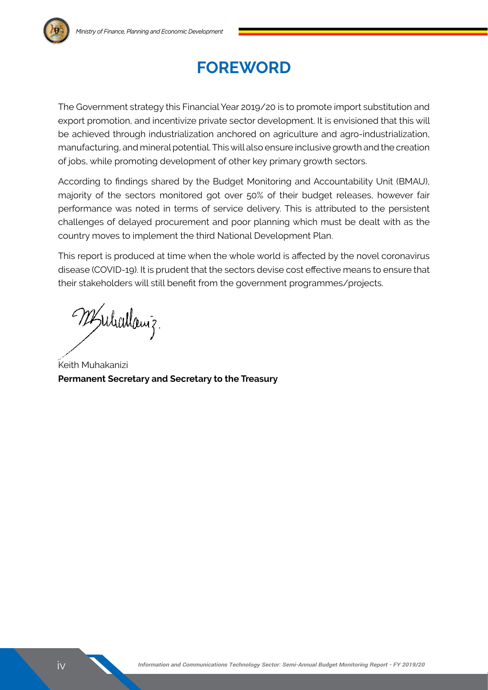

The Government strategy this Financial Year 2019/20 is to promote import substitution and export promotion, and incentivize private sector development. It is envisioned that this will be achieved through industrialization anchored on agriculture and agro-industrialization, manufacturing, and mineral potential. This will also ensure inclusive growth and the creation of jobs, while promoting development of other key primary growth sectors.

According to findings shared by the Budget Monitoring and Accountability Unit (BMAU), majority of the sectors monitored got over 50% of their budget releases, however fair performance was noted in terms of service delivery. This is attributed to the persistent challenges of delayed procurement and poor planning which must be dealt with as the country moves to implement the third National Development Plan.

This report is produced at time when the whole world is affected by the novel coronavirus disease (COVID-19). It is prudent that the sectors devise cost effective means to ensure that their stakeholders will still benefit from the government programmes/projects.

25 Michael 3.

Keith Muhakanizi **Permanent Secretary and Secretary to the Treasury**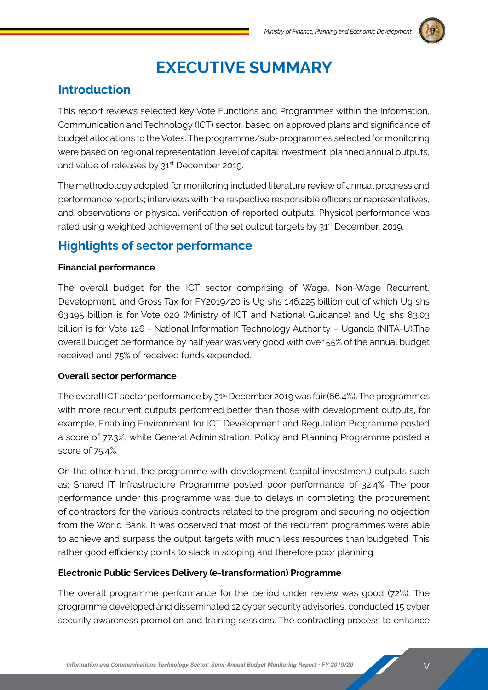

## **Executive Summary**

## **Introduction**

This report reviews selected key Vote Functions and Programmes within the Information, Communication and Technology (ICT) sector, based on approved plans and significance of budget allocations to the Votes. The programme/sub-programmes selected for monitoring were based on regional representation, level of capital investment, planned annual outputs, and value of releases by 31<sup>st</sup> December 2019.

The methodology adopted for monitoring included literature review of annual progress and performance reports; interviews with the respective responsible officers or representatives, and observations or physical verification of reported outputs. Physical performance was rated using weighted achievement of the set output targets by 31<sup>st</sup> December, 2019.

## **Highlights of sector performance**

#### **Financial performance**

The overall budget for the ICT sector comprising of Wage, Non-Wage Recurrent, Development, and Gross Tax for FY2019/20 is Ug shs 146.225 billion out of which Ug shs 63.195 billion is for Vote 020 (Ministry of ICT and National Guidance) and Ug shs 83.03 billion is for Vote 126 - National Information Technology Authority – Uganda (NITA-U).The overall budget performance by half year was very good with over 55% of the annual budget received and 75% of received funds expended.

#### **Overall sector performance**

The overall ICT sector performance by 31<sup>st</sup> December 2019 was fair (66.4%). The programmes with more recurrent outputs performed better than those with development outputs, for example, Enabling Environment for ICT Development and Regulation Programme posted a score of 77.3%, while General Administration, Policy and Planning Programme posted a score of 75.4%.

On the other hand, the programme with development (capital investment) outputs such as; Shared IT Infrastructure Programme posted poor performance of 32.4%. The poor performance under this programme was due to delays in completing the procurement of contractors for the various contracts related to the program and securing no objection from the World Bank. It was observed that most of the recurrent programmes were able to achieve and surpass the output targets with much less resources than budgeted. This rather good efficiency points to slack in scoping and therefore poor planning.

#### **Electronic Public Services Delivery (e-transformation) Programme**

The overall programme performance for the period under review was good (72%). The programme developed and disseminated 12 cyber security advisories, conducted 15 cyber security awareness promotion and training sessions. The contracting process to enhance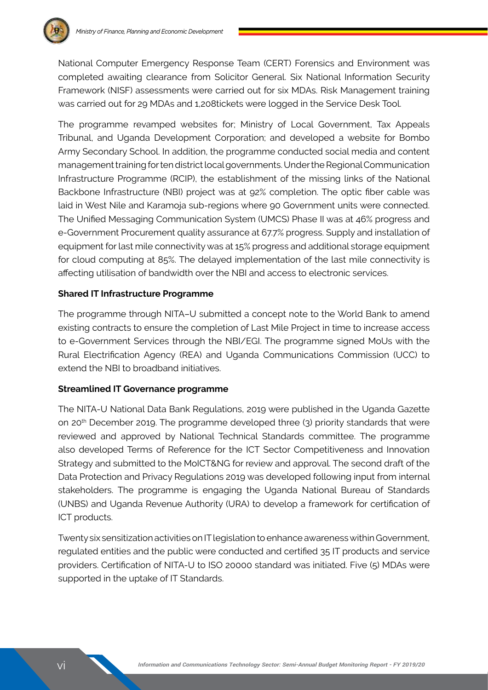

National Computer Emergency Response Team (CERT) Forensics and Environment was completed awaiting clearance from Solicitor General. Six National Information Security Framework (NISF) assessments were carried out for six MDAs. Risk Management training was carried out for 29 MDAs and 1,208tickets were logged in the Service Desk Tool.

The programme revamped websites for; Ministry of Local Government, Tax Appeals Tribunal, and Uganda Development Corporation; and developed a website for Bombo Army Secondary School. In addition, the programme conducted social media and content management training for ten district local governments. Under the Regional Communication Infrastructure Programme (RCIP), the establishment of the missing links of the National Backbone Infrastructure (NBI) project was at 92% completion. The optic fiber cable was laid in West Nile and Karamoja sub-regions where 90 Government units were connected. The Unified Messaging Communication System (UMCS) Phase II was at 46% progress and e-Government Procurement quality assurance at 67.7% progress. Supply and installation of equipment for last mile connectivity was at 15% progress and additional storage equipment for cloud computing at 85%. The delayed implementation of the last mile connectivity is affecting utilisation of bandwidth over the NBI and access to electronic services.

#### **Shared IT Infrastructure Programme**

The programme through NITA–U submitted a concept note to the World Bank to amend existing contracts to ensure the completion of Last Mile Project in time to increase access to e-Government Services through the NBI/EGI. The programme signed MoUs with the Rural Electrification Agency (REA) and Uganda Communications Commission (UCC) to extend the NBI to broadband initiatives.

#### **Streamlined IT Governance programme**

The NITA-U National Data Bank Regulations, 2019 were published in the Uganda Gazette on 20th December 2019. The programme developed three (3) priority standards that were reviewed and approved by National Technical Standards committee. The programme also developed Terms of Reference for the ICT Sector Competitiveness and Innovation Strategy and submitted to the MoICT&NG for review and approval. The second draft of the Data Protection and Privacy Regulations 2019 was developed following input from internal stakeholders. The programme is engaging the Uganda National Bureau of Standards (UNBS) and Uganda Revenue Authority (URA) to develop a framework for certification of ICT products.

Twenty six sensitization activities on IT legislation to enhance awareness within Government, regulated entities and the public were conducted and certified 35 IT products and service providers. Certification of NITA-U to ISO 20000 standard was initiated. Five (5) MDAs were supported in the uptake of IT Standards.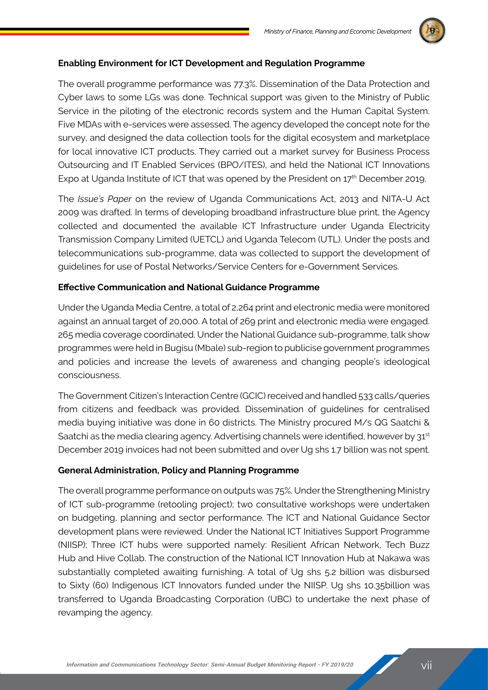

#### **Enabling Environment for ICT Development and Regulation Programme**

The overall programme performance was 77.3%. Dissemination of the Data Protection and Cyber laws to some LGs was done. Technical support was given to the Ministry of Public Service in the piloting of the electronic records system and the Human Capital System. Five MDAs with e-services were assessed. The agency developed the concept note for the survey, and designed the data collection tools for the digital ecosystem and marketplace for local innovative ICT products. They carried out a market survey for Business Process Outsourcing and IT Enabled Services (BPO/ITES), and held the National ICT Innovations Expo at Uganda Institute of ICT that was opened by the President on  $17<sup>th</sup>$  December 2019.

The *Issue's Paper* on the review of Uganda Communications Act, 2013 and NITA-U Act 2009 was drafted. In terms of developing broadband infrastructure blue print, the Agency collected and documented the available ICT Infrastructure under Uganda Electricity Transmission Company Limited (UETCL) and Uganda Telecom (UTL). Under the posts and telecommunications sub-programme, data was collected to support the development of guidelines for use of Postal Networks/Service Centers for e-Government Services.

#### **Effective Communication and National Guidance Programme**

Under the Uganda Media Centre, a total of 2,264 print and electronic media were monitored against an annual target of 20,000. A total of 269 print and electronic media were engaged. 265 media coverage coordinated. Under the National Guidance sub-programme, talk show programmes were held in Bugisu (Mbale) sub-region to publicise government programmes and policies and increase the levels of awareness and changing people's ideological consciousness.

The Government Citizen's Interaction Centre (GCIC) received and handled 533 calls/queries from citizens and feedback was provided. Dissemination of guidelines for centralised media buying initiative was done in 60 districts. The Ministry procured M/s QG Saatchi & Saatchi as the media clearing agency. Advertising channels were identified, however by  $31<sup>st</sup>$ December 2019 invoices had not been submitted and over Ug shs 1.7 billion was not spent.

#### **General Administration, Policy and Planning Programme**

The overall programme performance on outputs was 75%. Under the Strengthening Ministry of ICT sub-programme (retooling project); two consultative workshops were undertaken on budgeting, planning and sector performance. The ICT and National Guidance Sector development plans were reviewed. Under the National ICT Initiatives Support Programme (NIISP); Three ICT hubs were supported namely: Resilient African Network, Tech Buzz Hub and Hive Collab. The construction of the National ICT Innovation Hub at Nakawa was substantially completed awaiting furnishing. A total of Ug shs 5.2 billion was disbursed to Sixty (60) Indigenous ICT Innovators funded under the NIISP. Ug shs 10.35billion was transferred to Uganda Broadcasting Corporation (UBC) to undertake the next phase of revamping the agency.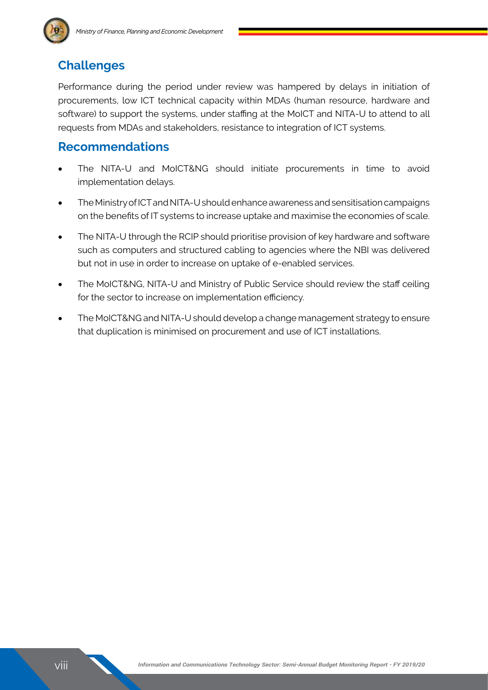## **Challenges**

Performance during the period under review was hampered by delays in initiation of procurements, low ICT technical capacity within MDAs (human resource, hardware and software) to support the systems, under staffing at the MoICT and NITA-U to attend to all requests from MDAs and stakeholders, resistance to integration of ICT systems.

### **Recommendations**

- The NITA-U and MoICT&NG should initiate procurements in time to avoid implementation delays.
- The Ministry of ICT and NITA-U should enhance awareness and sensitisation campaigns on the benefits of IT systems to increase uptake and maximise the economies of scale.
- The NITA-U through the RCIP should prioritise provision of key hardware and software such as computers and structured cabling to agencies where the NBI was delivered but not in use in order to increase on uptake of e-enabled services.
- The MoICT&NG, NITA-U and Ministry of Public Service should review the staff ceiling for the sector to increase on implementation efficiency.
- The MoICT&NG and NITA-U should develop a change management strategy to ensure that duplication is minimised on procurement and use of ICT installations.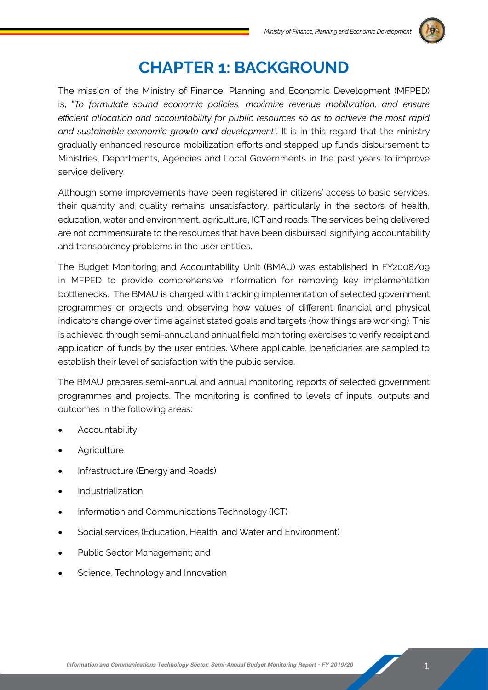

## **Chapter 1: BACKGROUND**

The mission of the Ministry of Finance, Planning and Economic Development (MFPED) is, "*To formulate sound economic policies, maximize revenue mobilization, and ensure efficient allocation and accountability for public resources so as to achieve the most rapid and sustainable economic growth and development*". It is in this regard that the ministry gradually enhanced resource mobilization efforts and stepped up funds disbursement to Ministries, Departments, Agencies and Local Governments in the past years to improve service delivery.

Although some improvements have been registered in citizens' access to basic services, their quantity and quality remains unsatisfactory, particularly in the sectors of health, education, water and environment, agriculture, ICT and roads. The services being delivered are not commensurate to the resources that have been disbursed, signifying accountability and transparency problems in the user entities.

The Budget Monitoring and Accountability Unit (BMAU) was established in FY2008/09 in MFPED to provide comprehensive information for removing key implementation bottlenecks. The BMAU is charged with tracking implementation of selected government programmes or projects and observing how values of different financial and physical indicators change over time against stated goals and targets (how things are working). This is achieved through semi-annual and annual field monitoring exercises to verify receipt and application of funds by the user entities. Where applicable, beneficiaries are sampled to establish their level of satisfaction with the public service.

The BMAU prepares semi-annual and annual monitoring reports of selected government programmes and projects. The monitoring is confined to levels of inputs, outputs and outcomes in the following areas:

- **Accountability**
- **Agriculture**
- Infrastructure (Energy and Roads)
- • Industrialization
- Information and Communications Technology (ICT)
- Social services (Education, Health, and Water and Environment)
- Public Sector Management; and
- Science, Technology and Innovation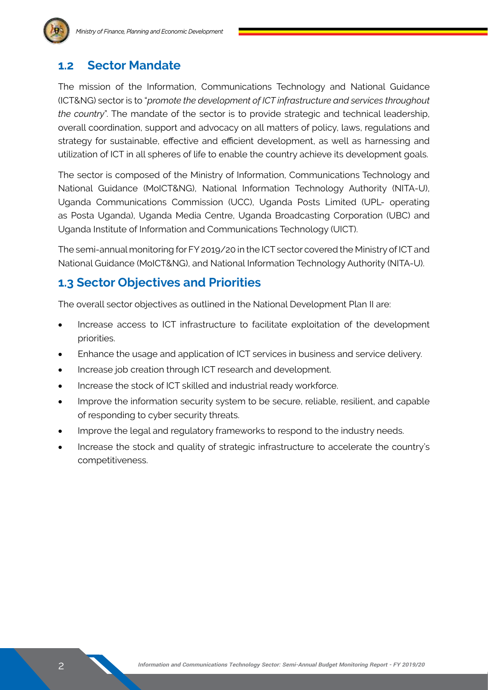## **1.2 Sector Mandate**

The mission of the Information, Communications Technology and National Guidance (ICT&NG) sector is to "*promote the development of ICT infrastructure and services throughout the country*". The mandate of the sector is to provide strategic and technical leadership, overall coordination, support and advocacy on all matters of policy, laws, regulations and strategy for sustainable, effective and efficient development, as well as harnessing and utilization of ICT in all spheres of life to enable the country achieve its development goals.

The sector is composed of the Ministry of Information, Communications Technology and National Guidance (MoICT&NG), National Information Technology Authority (NITA-U), Uganda Communications Commission (UCC), Uganda Posts Limited (UPL- operating as Posta Uganda), Uganda Media Centre, Uganda Broadcasting Corporation (UBC) and Uganda Institute of Information and Communications Technology (UICT).

The semi-annual monitoring for FY 2019/20 in the ICT sector covered the Ministry of ICT and National Guidance (MoICT&NG), and National Information Technology Authority (NITA-U).

## **1.3 Sector Objectives and Priorities**

The overall sector objectives as outlined in the National Development Plan II are:

- Increase access to ICT infrastructure to facilitate exploitation of the development priorities.
- Enhance the usage and application of ICT services in business and service delivery.
- Increase job creation through ICT research and development.
- Increase the stock of ICT skilled and industrial ready workforce.
- Improve the information security system to be secure, reliable, resilient, and capable of responding to cyber security threats.
- Improve the legal and regulatory frameworks to respond to the industry needs.
- Increase the stock and quality of strategic infrastructure to accelerate the country's competitiveness.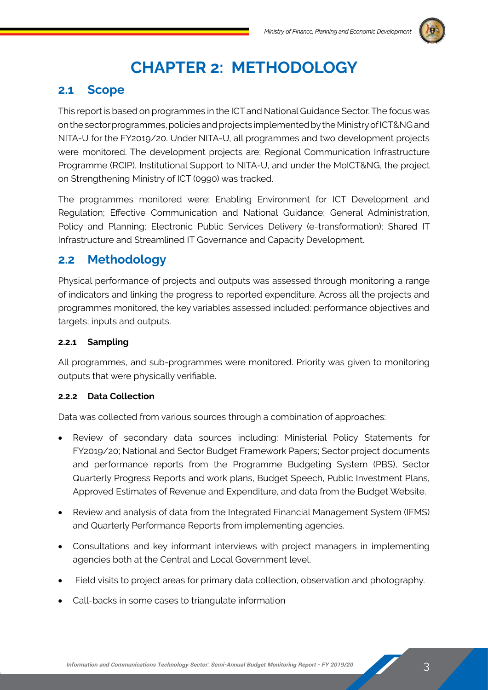

## **Chapter 2: METHODOLOGY**

### **2.1 Scope**

This report is based on programmes in the ICT and National Guidance Sector. The focus was on the sector programmes, policies and projects implemented by the Ministry of ICT&NG and NITA-U for the FY2019/20. Under NITA-U, all programmes and two development projects were monitored. The development projects are; Regional Communication Infrastructure Programme (RCIP), Institutional Support to NITA-U, and under the MoICT&NG, the project on Strengthening Ministry of ICT (0990) was tracked.

The programmes monitored were: Enabling Environment for ICT Development and Regulation; Effective Communication and National Guidance; General Administration, Policy and Planning; Electronic Public Services Delivery (e-transformation); Shared IT Infrastructure and Streamlined IT Governance and Capacity Development.

### **2.2 Methodology**

Physical performance of projects and outputs was assessed through monitoring a range of indicators and linking the progress to reported expenditure. Across all the projects and programmes monitored, the key variables assessed included: performance objectives and targets; inputs and outputs.

#### **2.2.1 Sampling**

All programmes, and sub-programmes were monitored. Priority was given to monitoring outputs that were physically verifiable.

#### **2.2.2 Data Collection**

Data was collected from various sources through a combination of approaches:

- • Review of secondary data sources including: Ministerial Policy Statements for FY2019/20; National and Sector Budget Framework Papers; Sector project documents and performance reports from the Programme Budgeting System (PBS), Sector Quarterly Progress Reports and work plans, Budget Speech, Public Investment Plans, Approved Estimates of Revenue and Expenditure, and data from the Budget Website.
- Review and analysis of data from the Integrated Financial Management System (IFMS) and Quarterly Performance Reports from implementing agencies.
- Consultations and key informant interviews with project managers in implementing agencies both at the Central and Local Government level.
- Field visits to project areas for primary data collection, observation and photography.
- Call-backs in some cases to triangulate information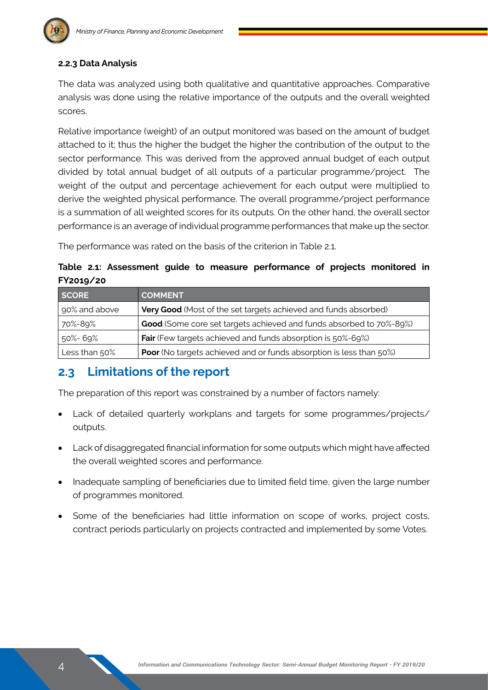

#### **2.2.3 Data Analysis**

The data was analyzed using both qualitative and quantitative approaches. Comparative analysis was done using the relative importance of the outputs and the overall weighted scores.

Relative importance (weight) of an output monitored was based on the amount of budget attached to it; thus the higher the budget the higher the contribution of the output to the sector performance. This was derived from the approved annual budget of each output divided by total annual budget of all outputs of a particular programme/project. The weight of the output and percentage achievement for each output were multiplied to derive the weighted physical performance. The overall programme/project performance is a summation of all weighted scores for its outputs. On the other hand, the overall sector performance is an average of individual programme performances that make up the sector.

The performance was rated on the basis of the criterion in Table 2.1.

**Table 2.1: Assessment guide to measure performance of projects monitored in FY2019/20**

| <b>SCORE</b>  | <b>COMMENT</b>                                                             |
|---------------|----------------------------------------------------------------------------|
| 90% and above | Very Good (Most of the set targets achieved and funds absorbed)            |
| 70%-89%       | Good (Some core set targets achieved and funds absorbed to 70%-89%)        |
| 50%- 69%      | Fair (Few targets achieved and funds absorption is 50%-69%)                |
| Less than 50% | <b>Poor</b> (No targets achieved and or funds absorption is less than 50%) |

### **2.3 Limitations of the report**

The preparation of this report was constrained by a number of factors namely:

- Lack of detailed quarterly workplans and targets for some programmes/projects/ outputs.
- Lack of disaggregated financial information for some outputs which might have affected the overall weighted scores and performance.
- Inadequate sampling of beneficiaries due to limited field time, given the large number of programmes monitored.
- Some of the beneficiaries had little information on scope of works, project costs, contract periods particularly on projects contracted and implemented by some Votes.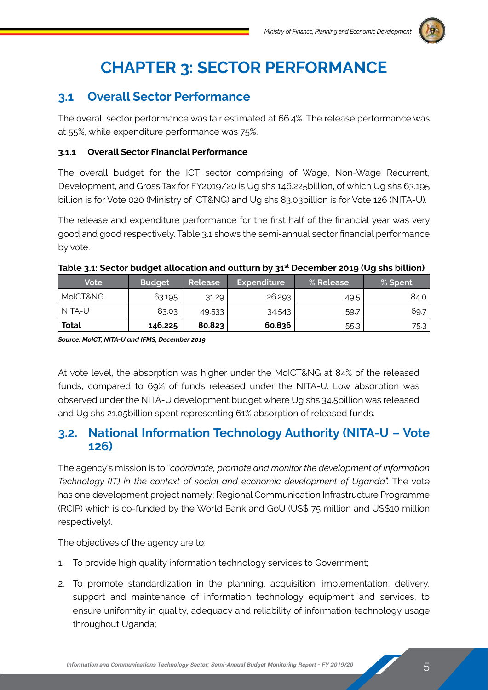

## **Chapter 3: SECTOR PERFORMANCE**

## **3.1 Overall Sector Performance**

The overall sector performance was fair estimated at 66.4%. The release performance was at 55%, while expenditure performance was 75%.

#### **3.1.1 Overall Sector Financial Performance**

The overall budget for the ICT sector comprising of Wage, Non-Wage Recurrent, Development, and Gross Tax for FY2019/20 is Ug shs 146.225billion, of which Ug shs 63.195 billion is for Vote 020 (Ministry of ICT&NG) and Ug shs 83.03billion is for Vote 126 (NITA-U).

The release and expenditure performance for the first half of the financial year was very good and good respectively. Table 3.1 shows the semi-annual sector financial performance by vote.

| <b>Vote</b>  | <b>Budget</b> | Release | Expenditure <sup> </sup> | % Release | % Spent |
|--------------|---------------|---------|--------------------------|-----------|---------|
| MoICT&NG     | 63.195        | 31.29   | 26.293                   | 49.5      | 84.0 l  |
| NITA-U       | 83.03         | 49.533  | 34.543                   | 59.7      | 69.7    |
| <b>Total</b> | 146.225       | 80.823  | 60.836                   | 55.3      | 75.3    |

#### Table 3.1: Sector budget allocation and outturn by 31<sup>st</sup> December 2019 (Ug shs billion)

*Source: MoICT, NITA-U and IFMS, December 2019*

At vote level, the absorption was higher under the MoICT&NG at 84% of the released funds, compared to 69% of funds released under the NITA-U. Low absorption was observed under the NITA-U development budget where Ug shs 34.5billion was released and Ug shs 21.05billion spent representing 61% absorption of released funds.

### **3.2. National Information Technology Authority (NITA-U – Vote 126)**

The agency's mission is to "*coordinate, promote and monitor the development of Information Technology (IT) in the context of social and economic development of Uganda".* The vote has one development project namely; Regional Communication Infrastructure Programme (RCIP) which is co-funded by the World Bank and GoU (US\$ 75 million and US\$10 million respectively).

The objectives of the agency are to:

- 1. To provide high quality information technology services to Government;
- 2. To promote standardization in the planning, acquisition, implementation, delivery, support and maintenance of information technology equipment and services, to ensure uniformity in quality, adequacy and reliability of information technology usage throughout Uganda;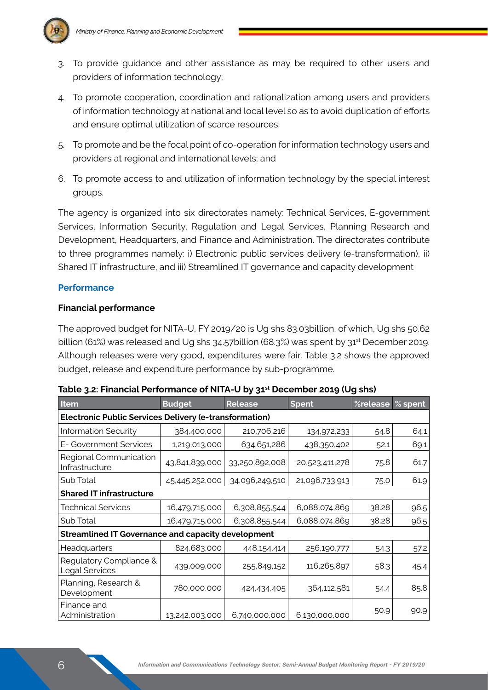

- 3. To provide guidance and other assistance as may be required to other users and providers of information technology;
- 4. To promote cooperation, coordination and rationalization among users and providers of information technology at national and local level so as to avoid duplication of efforts and ensure optimal utilization of scarce resources;
- 5. To promote and be the focal point of co-operation for information technology users and providers at regional and international levels; and
- 6. To promote access to and utilization of information technology by the special interest groups.

The agency is organized into six directorates namely: Technical Services, E-government Services, Information Security, Regulation and Legal Services, Planning Research and Development, Headquarters, and Finance and Administration. The directorates contribute to three programmes namely: i) Electronic public services delivery (e-transformation), ii) Shared IT infrastructure, and iii) Streamlined IT governance and capacity development

#### **Performance**

#### **Financial performance**

The approved budget for NITA-U, FY 2019/20 is Ug shs 83.03billion, of which, Ug shs 50.62 billion (61%) was released and Ug shs 34.57billion (68.3%) was spent by 31<sup>st</sup> December 2019. Although releases were very good, expenditures were fair. Table 3.2 shows the approved budget, release and expenditure performance by sub-programme.

| Item                                                          | <b>Budget</b><br><b>Release</b> |                | <b>Spent</b>   | %release | $\frac{1}{2}$ spent |  |  |
|---------------------------------------------------------------|---------------------------------|----------------|----------------|----------|---------------------|--|--|
| <b>Electronic Public Services Delivery (e-transformation)</b> |                                 |                |                |          |                     |  |  |
| <b>Information Security</b>                                   | 384,400,000                     | 210,706,216    | 134,972,233    | 54.8     | 64.1                |  |  |
| E- Government Services                                        | 1,219,013,000                   | 634,651,286    | 438,350,402    | 52.1     | 69.1                |  |  |
| Regional Communication<br>Infrastructure                      | 43,841,839,000                  | 33,250,892,008 | 20,523,411,278 | 75.8     | 61.7                |  |  |
| Sub Total                                                     | 45,445,252,000                  | 34,096,249,510 | 21,096,733,913 | 75.0     | 61.9                |  |  |
| <b>Shared IT infrastructure</b>                               |                                 |                |                |          |                     |  |  |
| <b>Technical Services</b>                                     | 16,479,715,000                  | 6,308,855,544  | 6,088,074,869  | 38.28    | 96.5                |  |  |
| Sub Total                                                     | 16,479,715,000                  | 6,308,855,544  | 6,088,074,869  | 38.28    | 96.5                |  |  |
| <b>Streamlined IT Governance and capacity development</b>     |                                 |                |                |          |                     |  |  |
| Headquarters                                                  | 824,683,000                     | 448,154,414    | 256,190,777    | 54.3     | 57.2                |  |  |
| Regulatory Compliance &<br>Legal Services                     | 439,009,000                     | 255,849,152    | 116,265,897    | 58.3     | 45.4                |  |  |
| Planning, Research &<br>Development                           | 780,000,000                     | 424,434,405    | 364,112,581    | 54.4     | 85.8                |  |  |
| Finance and<br>Administration                                 | 13,242,003,000                  | 6,740,000,000  | 6,130,000,000  | 50.9     | 90.9                |  |  |

| Table 3.2: Financial Performance of NITA-U by 31 <sup>st</sup> December 2019 (Ug shs) |  |  |  |
|---------------------------------------------------------------------------------------|--|--|--|
|                                                                                       |  |  |  |
|                                                                                       |  |  |  |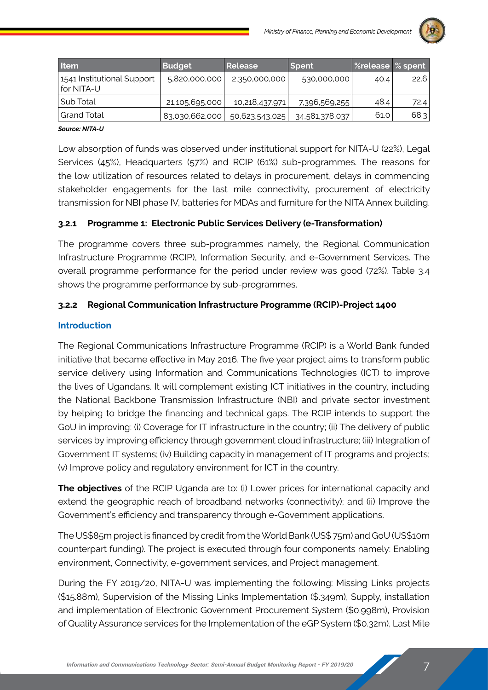

| <b>Item</b>                                | <b>Budget</b>  | Release        | <b>Spent</b>   | Srelease % spent |      |
|--------------------------------------------|----------------|----------------|----------------|------------------|------|
| 1541 Institutional Support<br>l for NITA-U | 5,820,000,000  | 2,350,000,000  | 530,000,000    | 40.4             | 22.6 |
| l Sub Total                                | 21,105,695,000 | 10,218,437,971 | 7,396,569,255  | 48.4             | 72.4 |
| Grand Total                                | 83,030,662,000 | 50,623,543,025 | 34,581,378,037 | 61.0             | 68.3 |

#### *Source: NITA-U*

Low absorption of funds was observed under institutional support for NITA-U (22%), Legal Services (45%), Headquarters (57%) and RCIP (61%) sub-programmes. The reasons for the low utilization of resources related to delays in procurement, delays in commencing stakeholder engagements for the last mile connectivity, procurement of electricity transmission for NBI phase IV, batteries for MDAs and furniture for the NITA Annex building.

#### **3.2.1 Programme 1: Electronic Public Services Delivery (e-Transformation)**

The programme covers three sub-programmes namely, the Regional Communication Infrastructure Programme (RCIP), Information Security, and e-Government Services. The overall programme performance for the period under review was good (72%). Table 3.4 shows the programme performance by sub-programmes.

#### **3.2.2 Regional Communication Infrastructure Programme (RCIP)-Project 1400**

#### **Introduction**

The Regional Communications Infrastructure Programme (RCIP) is a World Bank funded initiative that became effective in May 2016. The five year project aims to transform public service delivery using Information and Communications Technologies (ICT) to improve the lives of Ugandans. It will complement existing ICT initiatives in the country, including the National Backbone Transmission Infrastructure (NBI) and private sector investment by helping to bridge the financing and technical gaps. The RCIP intends to support the GoU in improving: (i) Coverage for IT infrastructure in the country; (ii) The delivery of public services by improving efficiency through government cloud infrastructure; (iii) Integration of Government IT systems; (iv) Building capacity in management of IT programs and projects; (v) Improve policy and regulatory environment for ICT in the country.

**The objectives** of the RCIP Uganda are to: (i) Lower prices for international capacity and extend the geographic reach of broadband networks (connectivity); and (ii) Improve the Government's efficiency and transparency through e-Government applications.

The US\$85m project is financed by credit from the World Bank (US\$ 75m) and GoU (US\$10m counterpart funding). The project is executed through four components namely: Enabling environment, Connectivity, e-government services, and Project management.

During the FY 2019/20, NITA-U was implementing the following: Missing Links projects (\$15.88m), Supervision of the Missing Links Implementation (\$.349m), Supply, installation and implementation of Electronic Government Procurement System (\$0.998m), Provision of Quality Assurance services for the Implementation of the eGP System (\$0.32m), Last Mile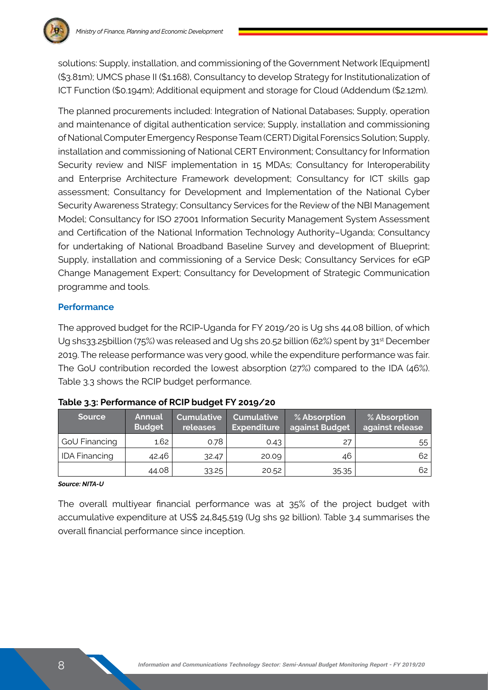

solutions: Supply, installation, and commissioning of the Government Network [Equipment] (\$3.81m); UMCS phase II (\$1.168), Consultancy to develop Strategy for Institutionalization of ICT Function (\$0.194m); Additional equipment and storage for Cloud (Addendum (\$2.12m).

The planned procurements included: Integration of National Databases; Supply, operation and maintenance of digital authentication service; Supply, installation and commissioning of National Computer Emergency Response Team (CERT) Digital Forensics Solution; Supply, installation and commissioning of National CERT Environment; Consultancy for Information Security review and NISF implementation in 15 MDAs; Consultancy for Interoperability and Enterprise Architecture Framework development; Consultancy for ICT skills gap assessment; Consultancy for Development and Implementation of the National Cyber Security Awareness Strategy; Consultancy Services for the Review of the NBI Management Model; Consultancy for ISO 27001 Information Security Management System Assessment and Certification of the National Information Technology Authority–Uganda; Consultancy for undertaking of National Broadband Baseline Survey and development of Blueprint; Supply, installation and commissioning of a Service Desk; Consultancy Services for eGP Change Management Expert; Consultancy for Development of Strategic Communication programme and tools.

#### **Performance**

The approved budget for the RCIP-Uganda for FY 2019/20 is Ug shs 44.08 billion, of which Ug shs33.25 billion (75%) was released and Ug shs 20.52 billion (62%) spent by 31<sup>st</sup> December 2019. The release performance was very good, while the expenditure performance was fair. The GoU contribution recorded the lowest absorption (27%) compared to the IDA (46%). Table 3.3 shows the RCIP budget performance.

| <b>Source</b>        | <b>Annual</b><br><b>Budget</b> | <b>Cumulative</b><br>releases | Cumulative <sup>1</sup><br><b>Expenditure</b> | % Absorption<br>against Budget | $\%$ Absorption<br>against release |
|----------------------|--------------------------------|-------------------------------|-----------------------------------------------|--------------------------------|------------------------------------|
| GoU Financing        | 1.62                           | 0.78                          | 0.43                                          | 27                             | 55                                 |
| <b>IDA Financing</b> | 42.46                          | 32.47                         | 20.09                                         | 46                             | 62                                 |
|                      | 44.08                          | 33.25                         | 20.52                                         | 35.35                          | 62                                 |

| Table 3.3: Performance of RCIP budget FY 2019/20 |  |  |  |  |
|--------------------------------------------------|--|--|--|--|
|--------------------------------------------------|--|--|--|--|

#### *Source: NITA-U*

The overall multiyear financial performance was at 35% of the project budget with accumulative expenditure at US\$ 24,845,519 (Ug shs 92 billion). Table 3.4 summarises the overall financial performance since inception.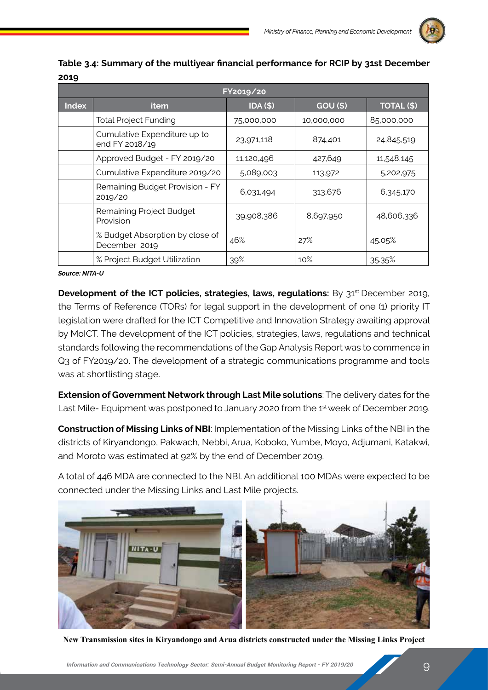

|       | FY2019/20                                        |                 |                 |                   |  |  |  |  |
|-------|--------------------------------------------------|-----------------|-----------------|-------------------|--|--|--|--|
| Index | <b>item</b>                                      | <b>IDA (\$)</b> | <b>GOU (\$)</b> | <b>TOTAL (\$)</b> |  |  |  |  |
|       | <b>Total Project Funding</b>                     | 75,000,000      | 10,000,000      | 85,000,000        |  |  |  |  |
|       | Cumulative Expenditure up to<br>end FY 2018/19   | 23,971,118      | 874,401         | 24,845,519        |  |  |  |  |
|       | Approved Budget - FY 2019/20                     | 11,120,496      | 427,649         | 11,548,145        |  |  |  |  |
|       | Cumulative Expenditure 2019/20                   | 5,089,003       | 113,972         | 5,202,975         |  |  |  |  |
|       | Remaining Budget Provision - FY<br>2019/20       | 6,031,494       | 313,676         | 6,345,170         |  |  |  |  |
|       | Remaining Project Budget<br>Provision            | 39,908,386      | 8,697,950       | 48,606,336        |  |  |  |  |
|       | % Budget Absorption by close of<br>December 2019 | 46%             | 27%             | 45.05%            |  |  |  |  |
|       | % Project Budget Utilization                     | 39%             | 10%             | 35.35%            |  |  |  |  |

**Table 3.4: Summary of the multiyear financial performance for RCIP by 31st December 2019**

*Source: NITA-U*

**Development of the ICT policies, strategies, laws, regulations:** By 31<sup>st</sup> December 2019, the Terms of Reference (TORs) for legal support in the development of one (1) priority IT legislation were drafted for the ICT Competitive and Innovation Strategy awaiting approval by MoICT. The development of the ICT policies, strategies, laws, regulations and technical standards following the recommendations of the Gap Analysis Report was to commence in Q3 of FY2019/20. The development of a strategic communications programme and tools was at shortlisting stage.

**Extension of Government Network through Last Mile solutions**: The delivery dates for the Last Mile- Equipment was postponed to January 2020 from the 1<sup>st</sup> week of December 2019.

**Construction of Missing Links of NBI**: Implementation of the Missing Links of the NBI in the districts of Kiryandongo, Pakwach, Nebbi, Arua, Koboko, Yumbe, Moyo, Adjumani, Katakwi, and Moroto was estimated at 92% by the end of December 2019.

A total of 446 MDA are connected to the NBI. An additional 100 MDAs were expected to be connected under the Missing Links and Last Mile projects.



**New Transmission sites in Kiryandongo and Arua districts constructed under the Missing Links Project**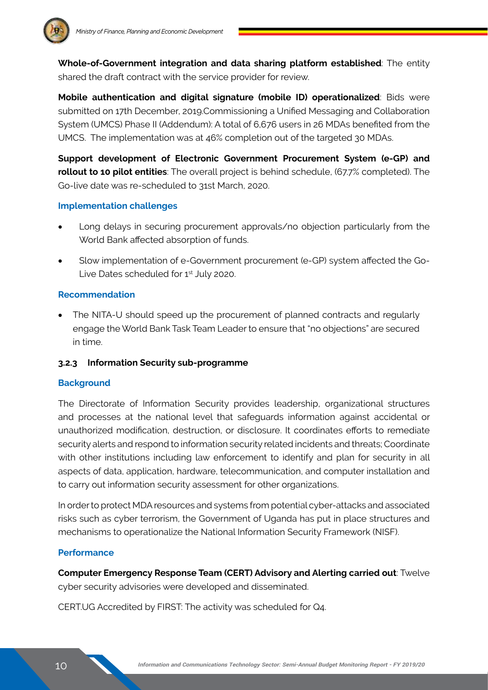

**Whole-of-Government integration and data sharing platform established**: The entity shared the draft contract with the service provider for review.

**Mobile authentication and digital signature (mobile ID) operationalized**: Bids were submitted on 17th December, 2019.Commissioning a Unified Messaging and Collaboration System (UMCS) Phase II (Addendum): A total of 6,676 users in 26 MDAs benefited from the UMCS. The implementation was at 46% completion out of the targeted 30 MDAs.

**Support development of Electronic Government Procurement System (e-GP) and rollout to 10 pilot entities**: The overall project is behind schedule, (67.7% completed). The Go-live date was re-scheduled to 31st March, 2020.

#### **Implementation challenges**

- Long delays in securing procurement approvals/no objection particularly from the World Bank affected absorption of funds.
- Slow implementation of e-Government procurement (e-GP) system affected the Go-Live Dates scheduled for 1<sup>st</sup> July 2020.

#### **Recommendation**

The NITA-U should speed up the procurement of planned contracts and regularly engage the World Bank Task Team Leader to ensure that "no objections" are secured in time.

#### **3.2.3 Information Security sub-programme**

#### **Background**

The Directorate of Information Security provides leadership, organizational structures and processes at the national level that safeguards information against accidental or unauthorized modification, destruction, or disclosure. It coordinates efforts to remediate security alerts and respond to information security related incidents and threats; Coordinate with other institutions including law enforcement to identify and plan for security in all aspects of data, application, hardware, telecommunication, and computer installation and to carry out information security assessment for other organizations.

In order to protect MDA resources and systems from potential cyber-attacks and associated risks such as cyber terrorism, the Government of Uganda has put in place structures and mechanisms to operationalize the National Information Security Framework (NISF).

#### **Performance**

**Computer Emergency Response Team (CERT) Advisory and Alerting carried out**: Twelve cyber security advisories were developed and disseminated.

CERT.UG Accredited by FIRST: The activity was scheduled for Q4.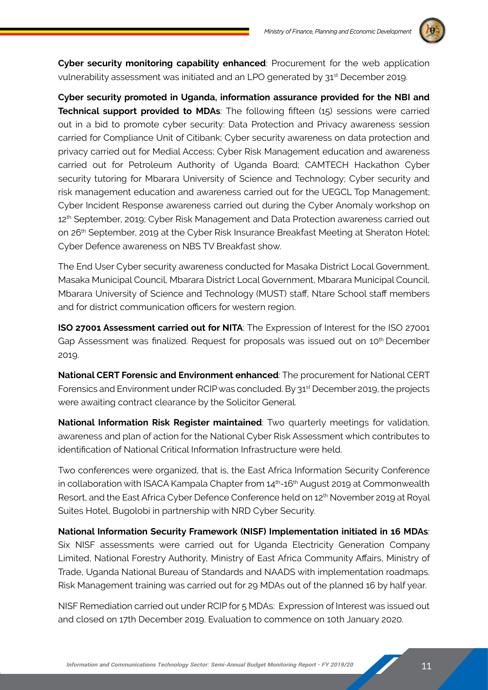

**Cyber security monitoring capability enhanced**: Procurement for the web application vulnerability assessment was initiated and an LPO generated by 31<sup>st</sup> December 2019.

**Cyber security promoted in Uganda, information assurance provided for the NBI and Technical support provided to MDAs**: The following fifteen (15) sessions were carried out in a bid to promote cyber security: Data Protection and Privacy awareness session carried for Compliance Unit of Citibank; Cyber security awareness on data protection and privacy carried out for Medial Access; Cyber Risk Management education and awareness carried out for Petroleum Authority of Uganda Board; CAMTECH Hackathon Cyber security tutoring for Mbarara University of Science and Technology; Cyber security and risk management education and awareness carried out for the UEGCL Top Management; Cyber Incident Response awareness carried out during the Cyber Anomaly workshop on 12<sup>th</sup> September, 2019; Cyber Risk Management and Data Protection awareness carried out on 26<sup>th</sup> September, 2019 at the Cyber Risk Insurance Breakfast Meeting at Sheraton Hotel; Cyber Defence awareness on NBS TV Breakfast show.

The End User Cyber security awareness conducted for Masaka District Local Government, Masaka Municipal Council, Mbarara District Local Government, Mbarara Municipal Council, Mbarara University of Science and Technology (MUST) staff, Ntare School staff members and for district communication officers for western region.

**ISO 27001 Assessment carried out for NITA**: The Expression of Interest for the ISO 27001 Gap Assessment was finalized. Request for proposals was issued out on 10<sup>th</sup> December 2019.

**National CERT Forensic and Environment enhanced**: The procurement for National CERT Forensics and Environment under RCIP was concluded. By  $31<sup>st</sup>$  December 2019, the projects were awaiting contract clearance by the Solicitor General.

**National Information Risk Register maintained**: Two quarterly meetings for validation, awareness and plan of action for the National Cyber Risk Assessment which contributes to identification of National Critical Information Infrastructure were held.

Two conferences were organized, that is, the East Africa Information Security Conference in collaboration with ISACA Kampala Chapter from  $14<sup>th</sup>$ -16<sup>th</sup> August 2019 at Commonwealth Resort, and the East Africa Cyber Defence Conference held on 12th November 2019 at Royal Suites Hotel, Bugolobi in partnership with NRD Cyber Security.

**National Information Security Framework (NISF) Implementation initiated in 16 MDAs**: Six NISF assessments were carried out for Uganda Electricity Generation Company Limited, National Forestry Authority, Ministry of East Africa Community Affairs, Ministry of Trade, Uganda National Bureau of Standards and NAADS with implementation roadmaps. Risk Management training was carried out for 29 MDAs out of the planned 16 by half year.

NISF Remediation carried out under RCIP for 5 MDAs: Expression of Interest was issued out and closed on 17th December 2019. Evaluation to commence on 10th January 2020.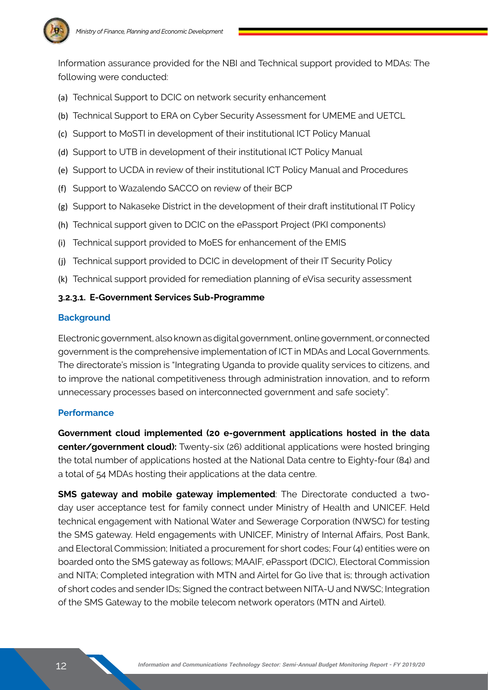

Information assurance provided for the NBI and Technical support provided to MDAs: The following were conducted:

- (a) Technical Support to DCIC on network security enhancement
- (b) Technical Support to ERA on Cyber Security Assessment for UMEME and UETCL
- (c) Support to MoSTI in development of their institutional ICT Policy Manual
- (d) Support to UTB in development of their institutional ICT Policy Manual
- (e) Support to UCDA in review of their institutional ICT Policy Manual and Procedures
- (f) Support to Wazalendo SACCO on review of their BCP
- (g) Support to Nakaseke District in the development of their draft institutional IT Policy
- (h) Technical support given to DCIC on the ePassport Project (PKI components)
- (i) Technical support provided to MoES for enhancement of the EMIS
- (j) Technical support provided to DCIC in development of their IT Security Policy
- (k) Technical support provided for remediation planning of eVisa security assessment

#### **3.2.3.1. E-Government Services Sub-Programme**

#### **Background**

Electronic government, also known as digital government, online government, or connected government is the comprehensive implementation of ICT in MDAs and Local Governments. The directorate's mission is "Integrating Uganda to provide quality services to citizens, and to improve the national competitiveness through administration innovation, and to reform unnecessary processes based on interconnected government and safe society".

#### **Performance**

**Government cloud implemented (20 e-government applications hosted in the data center/government cloud):** Twenty-six (26) additional applications were hosted bringing the total number of applications hosted at the National Data centre to Eighty-four (84) and a total of 54 MDAs hosting their applications at the data centre.

**SMS gateway and mobile gateway implemented**: The Directorate conducted a twoday user acceptance test for family connect under Ministry of Health and UNICEF. Held technical engagement with National Water and Sewerage Corporation (NWSC) for testing the SMS gateway. Held engagements with UNICEF, Ministry of Internal Affairs, Post Bank, and Electoral Commission; Initiated a procurement for short codes; Four (4) entities were on boarded onto the SMS gateway as follows; MAAIF, ePassport (DCIC), Electoral Commission and NITA; Completed integration with MTN and Airtel for Go live that is; through activation of short codes and sender IDs; Signed the contract between NITA-U and NWSC; Integration of the SMS Gateway to the mobile telecom network operators (MTN and Airtel).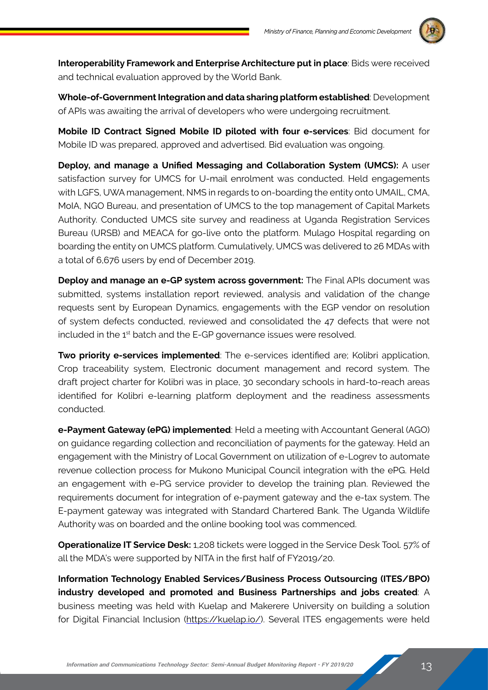

**Interoperability Framework and Enterprise Architecture put in place**: Bids were received and technical evaluation approved by the World Bank.

**Whole-of-Government Integration and data sharing platform established**: Development of APIs was awaiting the arrival of developers who were undergoing recruitment.

**Mobile ID Contract Signed Mobile ID piloted with four e-services**: Bid document for Mobile ID was prepared, approved and advertised. Bid evaluation was ongoing.

**Deploy, and manage a Unified Messaging and Collaboration System (UMCS):** A user satisfaction survey for UMCS for U-mail enrolment was conducted. Held engagements with LGFS, UWA management, NMS in regards to on-boarding the entity onto UMAIL, CMA, MoIA, NGO Bureau, and presentation of UMCS to the top management of Capital Markets Authority. Conducted UMCS site survey and readiness at Uganda Registration Services Bureau (URSB) and MEACA for go-live onto the platform. Mulago Hospital regarding on boarding the entity on UMCS platform. Cumulatively, UMCS was delivered to 26 MDAs with a total of 6,676 users by end of December 2019.

**Deploy and manage an e-GP system across government:** The Final APIs document was submitted, systems installation report reviewed, analysis and validation of the change requests sent by European Dynamics, engagements with the EGP vendor on resolution of system defects conducted, reviewed and consolidated the 47 defects that were not included in the 1<sup>st</sup> batch and the E-GP governance issues were resolved.

**Two priority e-services implemented**: The e-services identified are; Kolibri application, Crop traceability system, Electronic document management and record system. The draft project charter for Kolibri was in place, 30 secondary schools in hard-to-reach areas identified for Kolibri e-learning platform deployment and the readiness assessments conducted.

**e-Payment Gateway (ePG) implemented**: Held a meeting with Accountant General (AGO) on guidance regarding collection and reconciliation of payments for the gateway. Held an engagement with the Ministry of Local Government on utilization of e-Logrev to automate revenue collection process for Mukono Municipal Council integration with the ePG. Held an engagement with e-PG service provider to develop the training plan. Reviewed the requirements document for integration of e-payment gateway and the e-tax system. The E-payment gateway was integrated with Standard Chartered Bank. The Uganda Wildlife Authority was on boarded and the online booking tool was commenced.

**Operationalize IT Service Desk:** 1,208 tickets were logged in the Service Desk Tool. 57% of all the MDA's were supported by NITA in the first half of FY2019/20.

**Information Technology Enabled Services/Business Process Outsourcing (ITES/BPO) industry developed and promoted and Business Partnerships and jobs created**: A business meeting was held with Kuelap and Makerere University on building a solution for Digital Financial Inclusion (https://kuelap.io/). Several ITES engagements were held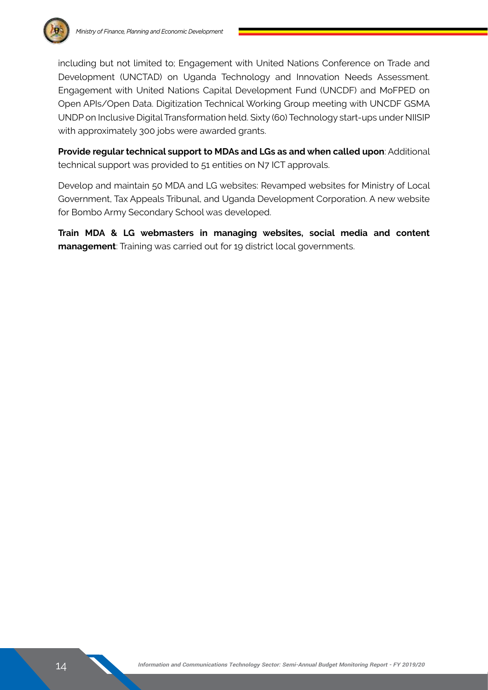

including but not limited to; Engagement with United Nations Conference on Trade and Development (UNCTAD) on Uganda Technology and Innovation Needs Assessment. Engagement with United Nations Capital Development Fund (UNCDF) and MoFPED on Open APIs/Open Data. Digitization Technical Working Group meeting with UNCDF GSMA UNDP on Inclusive Digital Transformation held. Sixty (60) Technology start-ups under NIISIP with approximately 300 jobs were awarded grants.

**Provide regular technical support to MDAs and LGs as and when called upon**: Additional technical support was provided to 51 entities on N7 ICT approvals.

Develop and maintain 50 MDA and LG websites: Revamped websites for Ministry of Local Government, Tax Appeals Tribunal, and Uganda Development Corporation. A new website for Bombo Army Secondary School was developed.

**Train MDA & LG webmasters in managing websites, social media and content management**: Training was carried out for 19 district local governments.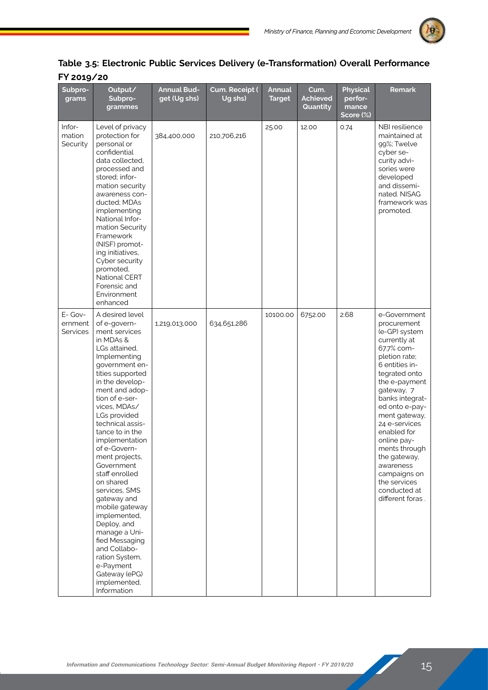

### **Table 3.5: Electronic Public Services Delivery (e-Transformation) Overall Performance FY 2019/20**

| Subpro-<br>grams               | Output/<br>Subpro-<br>grammes                                                                                                                                                                                                                                                                                                                                                                                                                                                                                                                                                          | <b>Annual Bud-</b><br>get (Ug shs) | Cum. Receipt (<br>Ug shs) | <b>Annual</b><br><b>Target</b> | Cum.<br><b>Achieved</b><br>Quantity | <b>Physical</b><br>perfor-<br>mance<br>Score (%) | <b>Remark</b>                                                                                                                                                                                                                                                                                                                                                                        |
|--------------------------------|----------------------------------------------------------------------------------------------------------------------------------------------------------------------------------------------------------------------------------------------------------------------------------------------------------------------------------------------------------------------------------------------------------------------------------------------------------------------------------------------------------------------------------------------------------------------------------------|------------------------------------|---------------------------|--------------------------------|-------------------------------------|--------------------------------------------------|--------------------------------------------------------------------------------------------------------------------------------------------------------------------------------------------------------------------------------------------------------------------------------------------------------------------------------------------------------------------------------------|
| Infor-<br>mation<br>Security   | Level of privacy<br>protection for<br>personal or<br>confidential<br>data collected,<br>processed and<br>stored; infor-<br>mation security<br>awareness con-<br>ducted; MDAs<br>implementing<br>National Infor-<br>mation Security<br>Framework<br>(NISF) promot-<br>ing initiatives,<br>Cyber security<br>promoted,<br>National CERT<br>Forensic and<br>Environment<br>enhanced                                                                                                                                                                                                       | 384,400,000                        | 210,706,216               | 25.00                          | 12.00                               | 0.74                                             | NBI resilience<br>maintained at<br>99%; Twelve<br>cyber se-<br>curity advi-<br>sories were<br>developed<br>and dissemi-<br>nated. NISAG<br>framework was<br>promoted.                                                                                                                                                                                                                |
| E- Gov-<br>ernment<br>Services | A desired level<br>of e-govern-<br>ment services<br>in MDAs &<br>LGs attained,<br>Implementing<br>government en-<br>tities supported<br>in the develop-<br>ment and adop-<br>tion of e-ser-<br>vices, MDAs/<br>LGs provided<br>technical assis-<br>tance to in the<br>implementation<br>of e-Govern-<br>ment projects,<br>Government<br>staff enrolled<br>on shared<br>services, SMS<br>gateway and<br>mobile gateway<br>implemented,<br>Deploy, and<br>manage a Uni-<br>fied Messaging<br>and Collabo-<br>ration System,<br>e-Payment<br>Gateway (ePG)<br>implemented,<br>Information | 1,219,013,000                      | 634,651,286               | 10100.00                       | 6752.00                             | 2.68                                             | e-Government<br>procurement<br>(e-GP) system<br>currently at<br>67.7% com-<br>pletion rate;<br>6 entities in-<br>tegrated onto<br>the e-payment<br>gateway, 7<br>banks integrat-<br>ed onto e-pay-<br>ment gateway,<br>24 e-services<br>enabled for<br>online pay-<br>ments through<br>the gateway,<br>awareness<br>campaigns on<br>the services<br>conducted at<br>different foras. |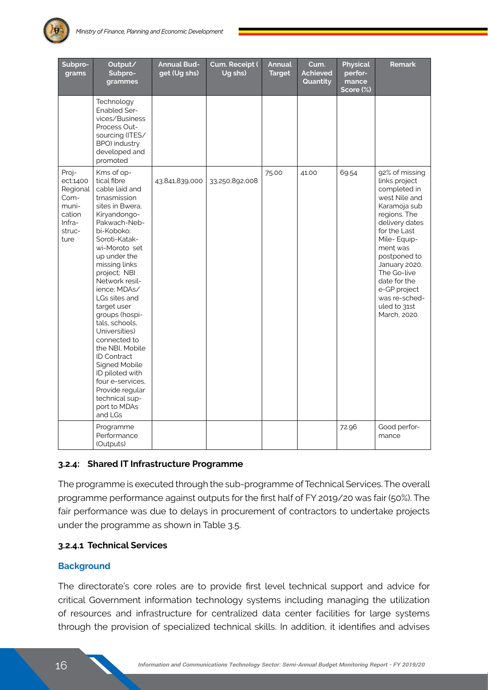

| Subpro-<br>grams                                                                     | Output/<br>Subpro-<br>grammes                                                                                                                                                                                                                                                                                                                                                                                                                                                                                           | <b>Annual Bud-</b><br>get (Ug shs) | Cum. Receipt (<br>Ug shs) | <b>Annual</b><br><b>Target</b> | Cum.<br><b>Achieved</b><br>Quantity | <b>Physical</b><br>perfor-<br>mance<br>Score (%) | <b>Remark</b>                                                                                                                                                                                                                                                                                  |
|--------------------------------------------------------------------------------------|-------------------------------------------------------------------------------------------------------------------------------------------------------------------------------------------------------------------------------------------------------------------------------------------------------------------------------------------------------------------------------------------------------------------------------------------------------------------------------------------------------------------------|------------------------------------|---------------------------|--------------------------------|-------------------------------------|--------------------------------------------------|------------------------------------------------------------------------------------------------------------------------------------------------------------------------------------------------------------------------------------------------------------------------------------------------|
|                                                                                      | Technology<br><b>Enabled Ser-</b><br>vices/Business<br>Process Out-<br>sourcing (ITES/<br>BPO) industry<br>developed and<br>promoted                                                                                                                                                                                                                                                                                                                                                                                    |                                    |                           |                                |                                     |                                                  |                                                                                                                                                                                                                                                                                                |
| Proj-<br>ect:1400<br>Regional<br>Com-<br>muni-<br>cation<br>Infra-<br>struc-<br>ture | Kms of op-<br>tical fibre<br>cable laid and<br>trnasmission<br>sites in Bwera,<br>Kiryandongo-<br>Pakwach-Neb-<br>bi-Koboko:<br>Soroti-Katak-<br>wi-Moroto set<br>up under the<br>missing links<br>project; NBI<br>Network resil-<br>ience; MDAs/<br>LGs sites and<br>target user<br>groups (hospi-<br>tals, schools,<br>Universities)<br>connected to<br>the NBI. Mobile<br><b>ID Contract</b><br>Signed Mobile<br>ID piloted with<br>four e-services.<br>Provide regular<br>technical sup-<br>port to MDAs<br>and LGs | 43,841,839,000                     | 33,250,892,008            | 75.00                          | 41.00                               | 69.54                                            | 92% of missing<br>links project<br>completed in<br>west Nile and<br>Karamoja sub<br>regions. The<br>delivery dates<br>for the Last<br>Mile-Equip-<br>ment was<br>postponed to<br>January 2020.<br>The Go-live<br>date for the<br>e-GP project<br>was re-sched-<br>uled to 31st<br>March, 2020. |
|                                                                                      | Programme<br>Performance<br>(Outputs)                                                                                                                                                                                                                                                                                                                                                                                                                                                                                   |                                    |                           |                                |                                     | 72.96                                            | Good perfor-<br>mance                                                                                                                                                                                                                                                                          |

#### **3.2.4: Shared IT Infrastructure Programme**

The programme is executed through the sub-programme of Technical Services. The overall programme performance against outputs for the first half of FY 2019/20 was fair (50%). The fair performance was due to delays in procurement of contractors to undertake projects under the programme as shown in Table 3.5.

#### **3.2.4.1 Technical Services**

#### **Background**

The directorate's core roles are to provide first level technical support and advice for critical Government information technology systems including managing the utilization of resources and infrastructure for centralized data center facilities for large systems through the provision of specialized technical skills. In addition, it identifies and advises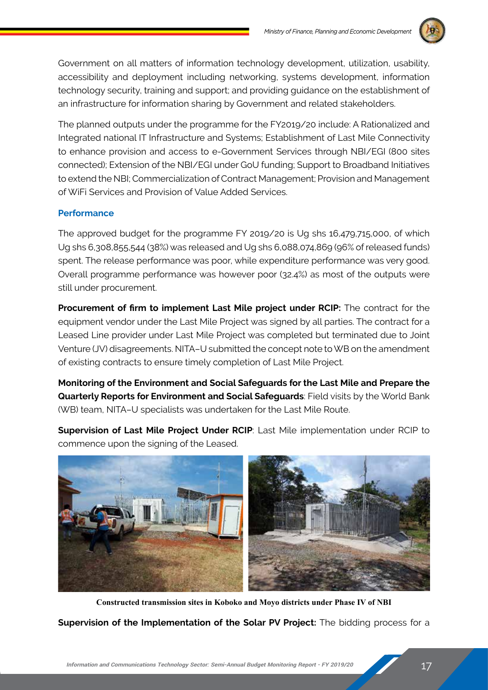

Government on all matters of information technology development, utilization, usability, accessibility and deployment including networking, systems development, information technology security, training and support; and providing guidance on the establishment of an infrastructure for information sharing by Government and related stakeholders.

The planned outputs under the programme for the FY2019/20 include: A Rationalized and Integrated national IT Infrastructure and Systems; Establishment of Last Mile Connectivity to enhance provision and access to e-Government Services through NBI/EGI (800 sites connected); Extension of the NBI/EGI under GoU funding; Support to Broadband Initiatives to extend the NBI; Commercialization of Contract Management; Provision and Management of WiFi Services and Provision of Value Added Services.

#### **Performance**

The approved budget for the programme FY 2019/20 is Ug shs 16,479,715,000, of which Ug shs 6,308,855,544 (38%) was released and Ug shs 6,088,074,869 (96% of released funds) spent. The release performance was poor, while expenditure performance was very good. Overall programme performance was however poor (32.4%) as most of the outputs were still under procurement.

**Procurement of firm to implement Last Mile project under RCIP:** The contract for the equipment vendor under the Last Mile Project was signed by all parties. The contract for a Leased Line provider under Last Mile Project was completed but terminated due to Joint Venture (JV) disagreements. NITA–U submitted the concept note to WB on the amendment of existing contracts to ensure timely completion of Last Mile Project.

**Monitoring of the Environment and Social Safeguards for the Last Mile and Prepare the Quarterly Reports for Environment and Social Safeguards**: Field visits by the World Bank (WB) team, NITA–U specialists was undertaken for the Last Mile Route.

**Supervision of Last Mile Project Under RCIP**: Last Mile implementation under RCIP to commence upon the signing of the Leased.



**Constructed transmission sites in Koboko and Moyo districts under Phase IV of NBI**

**Supervision of the Implementation of the Solar PV Project:** The bidding process for a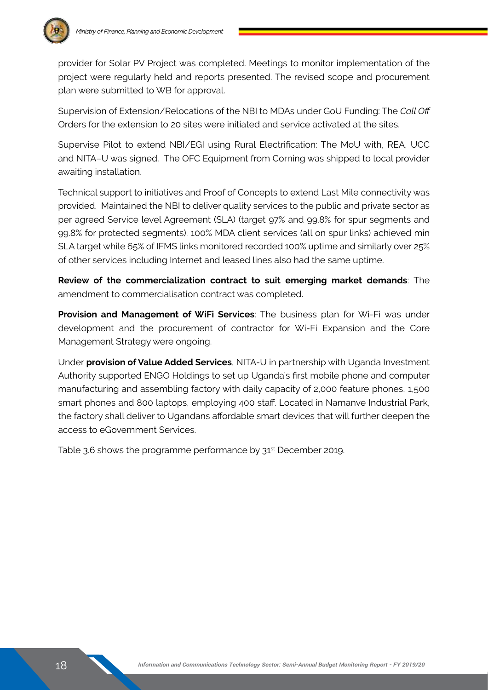

provider for Solar PV Project was completed. Meetings to monitor implementation of the project were regularly held and reports presented. The revised scope and procurement plan were submitted to WB for approval.

Supervision of Extension/Relocations of the NBI to MDAs under GoU Funding: The *Call Off* Orders for the extension to 20 sites were initiated and service activated at the sites.

Supervise Pilot to extend NBI/EGI using Rural Electrification: The MoU with, REA, UCC and NITA–U was signed. The OFC Equipment from Corning was shipped to local provider awaiting installation.

Technical support to initiatives and Proof of Concepts to extend Last Mile connectivity was provided. Maintained the NBI to deliver quality services to the public and private sector as per agreed Service level Agreement (SLA) (target 97% and 99.8% for spur segments and 99.8% for protected segments). 100% MDA client services (all on spur links) achieved min SLA target while 65% of IFMS links monitored recorded 100% uptime and similarly over 25% of other services including Internet and leased lines also had the same uptime.

**Review of the commercialization contract to suit emerging market demands**: The amendment to commercialisation contract was completed.

**Provision and Management of WiFi Services**: The business plan for Wi-Fi was under development and the procurement of contractor for Wi-Fi Expansion and the Core Management Strategy were ongoing.

Under **provision of Value Added Services**, NITA-U in partnership with Uganda Investment Authority supported ENGO Holdings to set up Uganda's first mobile phone and computer manufacturing and assembling factory with daily capacity of 2,000 feature phones, 1,500 smart phones and 800 laptops, employing 400 staff. Located in Namanve Industrial Park, the factory shall deliver to Ugandans affordable smart devices that will further deepen the access to eGovernment Services.

Table 3.6 shows the programme performance by 31<sup>st</sup> December 2019.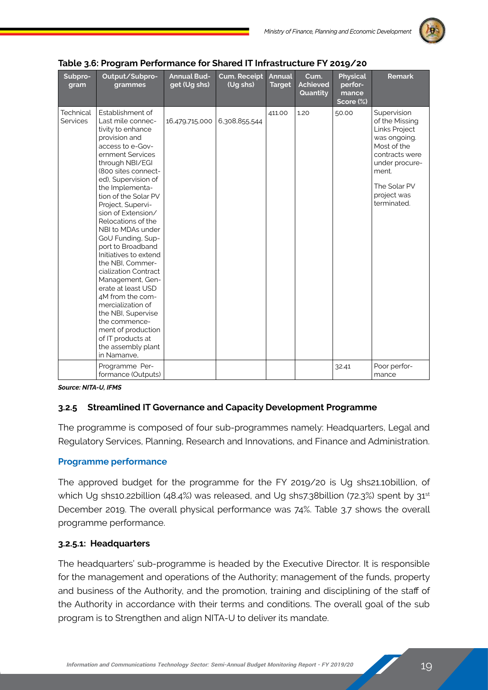

| Subpro-<br>gram                     | Output/Subpro-<br>grammes                                                                                                                                                                                                                                                                                                                                                                                                                                                                                                                                                                                                                      | <b>Annual Bud-</b><br>get (Ug shs) | <b>Cum. Receipt</b><br>(Ug shs) | Annual<br><b>Target</b> | Cum.<br><b>Achieved</b><br>Quantity | <b>Physical</b><br>perfor-<br>mance<br>Score (%) | <b>Remark</b>                                                                                                                                                            |
|-------------------------------------|------------------------------------------------------------------------------------------------------------------------------------------------------------------------------------------------------------------------------------------------------------------------------------------------------------------------------------------------------------------------------------------------------------------------------------------------------------------------------------------------------------------------------------------------------------------------------------------------------------------------------------------------|------------------------------------|---------------------------------|-------------------------|-------------------------------------|--------------------------------------------------|--------------------------------------------------------------------------------------------------------------------------------------------------------------------------|
| <b>Technical</b><br><b>Services</b> | Establishment of<br>Last mile connec-<br>tivity to enhance<br>provision and<br>access to e-Gov-<br>ernment Services<br>through NBI/EGI<br>(800 sites connect-<br>ed), Supervision of<br>the Implementa-<br>tion of the Solar PV<br>Project, Supervi-<br>sion of Extension/<br>Relocations of the<br>NBI to MDAs under<br>GoU Funding, Sup-<br>port to Broadband<br>Initiatives to extend<br>the NBI. Commer-<br>cialization Contract<br>Management, Gen-<br>erate at least USD<br>4M from the com-<br>mercialization of<br>the NBI, Supervise<br>the commence-<br>ment of production<br>of IT products at<br>the assembly plant<br>in Namanye. | 16,479,715,000                     | 6,308,855,544                   | 411.00                  | 1.20                                | 50.00                                            | Supervision<br>of the Missing<br>Links Project<br>was ongoing.<br>Most of the<br>contracts were<br>under procure-<br>ment.<br>The Solar PV<br>project was<br>terminated. |
|                                     | Programme Per-<br>formance (Outputs)                                                                                                                                                                                                                                                                                                                                                                                                                                                                                                                                                                                                           |                                    |                                 |                         |                                     | 32.41                                            | Poor perfor-<br>mance                                                                                                                                                    |

| Table 3.6: Program Performance for Shared IT Infrastructure FY 2019/20 |  |  |  |  |  |  |
|------------------------------------------------------------------------|--|--|--|--|--|--|
|------------------------------------------------------------------------|--|--|--|--|--|--|

*Source: NITA-U, IFMS*

#### **3.2.5 Streamlined IT Governance and Capacity Development Programme**

The programme is composed of four sub-programmes namely: Headquarters, Legal and Regulatory Services, Planning, Research and Innovations, and Finance and Administration.

#### **Programme performance**

The approved budget for the programme for the FY 2019/20 is Ug shs21.10billion, of which Ug shs10.22billion (48.4%) was released, and Ug shs7.38billion (72.3%) spent by 31<sup>st</sup> December 2019. The overall physical performance was 74%. Table 3.7 shows the overall programme performance.

#### **3.2.5.1: Headquarters**

The headquarters' sub-programme is headed by the Executive Director. It is responsible for the management and operations of the Authority; management of the funds, property and business of the Authority, and the promotion, training and disciplining of the staff of the Authority in accordance with their terms and conditions. The overall goal of the sub program is to Strengthen and align NITA-U to deliver its mandate.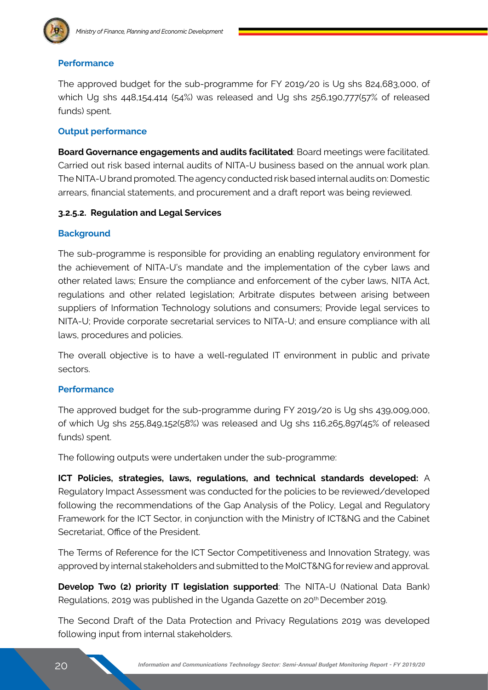

#### **Performance**

The approved budget for the sub-programme for FY 2019/20 is Ug shs 824,683,000, of which Ug shs 448,154,414 (54%) was released and Ug shs 256,190,777(57% of released funds) spent.

#### **Output performance**

**Board Governance engagements and audits facilitated**: Board meetings were facilitated. Carried out risk based internal audits of NITA-U business based on the annual work plan. The NITA-U brand promoted. The agency conducted risk based internal audits on: Domestic arrears, financial statements, and procurement and a draft report was being reviewed.

#### **3.2.5.2. Regulation and Legal Services**

#### **Background**

The sub-programme is responsible for providing an enabling regulatory environment for the achievement of NITA-U's mandate and the implementation of the cyber laws and other related laws; Ensure the compliance and enforcement of the cyber laws, NITA Act, regulations and other related legislation; Arbitrate disputes between arising between suppliers of Information Technology solutions and consumers; Provide legal services to NITA-U; Provide corporate secretarial services to NITA-U; and ensure compliance with all laws, procedures and policies.

The overall objective is to have a well-regulated IT environment in public and private sectors.

#### **Performance**

The approved budget for the sub-programme during FY 2019/20 is Ug shs 439,009,000, of which Ug shs 255,849,152(58%) was released and Ug shs 116,265,897(45% of released funds) spent.

The following outputs were undertaken under the sub-programme:

**ICT Policies, strategies, laws, regulations, and technical standards developed:** A Regulatory Impact Assessment was conducted for the policies to be reviewed/developed following the recommendations of the Gap Analysis of the Policy, Legal and Regulatory Framework for the ICT Sector, in conjunction with the Ministry of ICT&NG and the Cabinet Secretariat, Office of the President

The Terms of Reference for the ICT Sector Competitiveness and Innovation Strategy, was approved by internal stakeholders and submitted to the MoICT&NG for review and approval.

**Develop Two (2) priority IT legislation supported**: The NITA-U (National Data Bank) Regulations, 2019 was published in the Uganda Gazette on 20th December 2019.

The Second Draft of the Data Protection and Privacy Regulations 2019 was developed following input from internal stakeholders.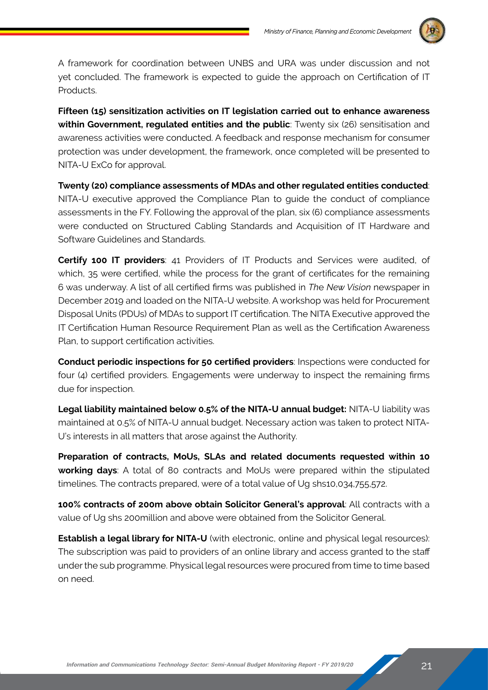

A framework for coordination between UNBS and URA was under discussion and not yet concluded. The framework is expected to guide the approach on Certification of IT Products.

**Fifteen (15) sensitization activities on IT legislation carried out to enhance awareness within Government, regulated entities and the public**: Twenty six (26) sensitisation and awareness activities were conducted. A feedback and response mechanism for consumer protection was under development, the framework, once completed will be presented to NITA-U ExCo for approval.

**Twenty (20) compliance assessments of MDAs and other regulated entities conducted**: NITA-U executive approved the Compliance Plan to guide the conduct of compliance assessments in the FY. Following the approval of the plan, six (6) compliance assessments were conducted on Structured Cabling Standards and Acquisition of IT Hardware and Software Guidelines and Standards.

**Certify 100 IT providers**: 41 Providers of IT Products and Services were audited, of which, 35 were certified, while the process for the grant of certificates for the remaining 6 was underway. A list of all certified firms was published in *Th*e *New Vision* newspaper in December 2019 and loaded on the NITA-U website. A workshop was held for Procurement Disposal Units (PDUs) of MDAs to support IT certification. The NITA Executive approved the IT Certification Human Resource Requirement Plan as well as the Certification Awareness Plan, to support certification activities.

**Conduct periodic inspections for 50 certified providers**: Inspections were conducted for four (4) certified providers. Engagements were underway to inspect the remaining firms due for inspection.

**Legal liability maintained below 0.5% of the NITA-U annual budget:** NITA-U liability was maintained at 0.5% of NITA-U annual budget. Necessary action was taken to protect NITA-U's interests in all matters that arose against the Authority.

**Preparation of contracts, MoUs, SLAs and related documents requested within 10 working days**: A total of 80 contracts and MoUs were prepared within the stipulated timelines. The contracts prepared, were of a total value of Ug shs10,034,755,572.

**100% contracts of 200m above obtain Solicitor General's approval**: All contracts with a value of Ug shs 200million and above were obtained from the Solicitor General.

**Establish a legal library for NITA-U** (with electronic, online and physical legal resources): The subscription was paid to providers of an online library and access granted to the staff under the sub programme. Physical legal resources were procured from time to time based on need.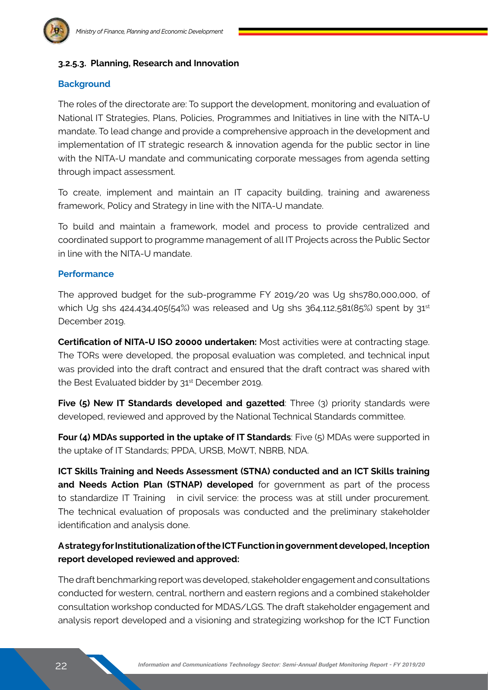#### **3.2.5.3. Planning, Research and Innovation**

#### **Background**

The roles of the directorate are: To support the development, monitoring and evaluation of National IT Strategies, Plans, Policies, Programmes and Initiatives in line with the NITA-U mandate. To lead change and provide a comprehensive approach in the development and implementation of IT strategic research & innovation agenda for the public sector in line with the NITA-U mandate and communicating corporate messages from agenda setting through impact assessment.

To create, implement and maintain an IT capacity building, training and awareness framework, Policy and Strategy in line with the NITA-U mandate.

To build and maintain a framework, model and process to provide centralized and coordinated support to programme management of all IT Projects across the Public Sector in line with the NITA-U mandate.

#### **Performance**

The approved budget for the sub-programme FY 2019/20 was Ug shs780,000,000, of which Ug shs  $424,434,405(54%)$  was released and Ug shs  $364,112,581(85%)$  spent by  $31^{st}$ December 2019.

**Certification of NITA-U ISO 20000 undertaken:** Most activities were at contracting stage. The TORs were developed, the proposal evaluation was completed, and technical input was provided into the draft contract and ensured that the draft contract was shared with the Best Evaluated bidder by 31<sup>st</sup> December 2019.

**Five (5) New IT Standards developed and gazetted:** Three (3) priority standards were developed, reviewed and approved by the National Technical Standards committee.

**Four (4) MDAs supported in the uptake of IT Standards**: Five (5) MDAs were supported in the uptake of IT Standards; PPDA, URSB, MoWT, NBRB, NDA.

**ICT Skills Training and Needs Assessment (STNA) conducted and an ICT Skills training and Needs Action Plan (STNAP) developed** for government as part of the process to standardize IT Training in civil service: the process was at still under procurement. The technical evaluation of proposals was conducted and the preliminary stakeholder identification and analysis done.

#### **A strategy for Institutionalization of the ICT Function in government developed, Inception report developed reviewed and approved:**

The draft benchmarking report was developed, stakeholder engagement and consultations conducted for western, central, northern and eastern regions and a combined stakeholder consultation workshop conducted for MDAS/LGS. The draft stakeholder engagement and analysis report developed and a visioning and strategizing workshop for the ICT Function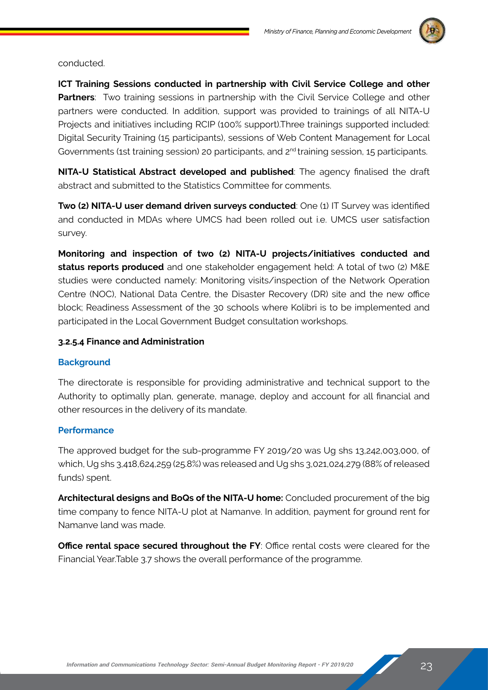

conducted.

**ICT Training Sessions conducted in partnership with Civil Service College and other Partners**: Two training sessions in partnership with the Civil Service College and other partners were conducted. In addition, support was provided to trainings of all NITA-U Projects and initiatives including RCIP (100% support).Three trainings supported included: Digital Security Training (15 participants), sessions of Web Content Management for Local Governments (1st training session) 20 participants, and 2<sup>nd</sup> training session, 15 participants.

**NITA-U Statistical Abstract developed and published**: The agency finalised the draft abstract and submitted to the Statistics Committee for comments.

**Two (2) NITA-U user demand driven surveys conducted: One (1) IT Survey was identified** and conducted in MDAs where UMCS had been rolled out i.e. UMCS user satisfaction survey.

**Monitoring and inspection of two (2) NITA-U projects/initiatives conducted and status reports produced** and one stakeholder engagement held: A total of two (2) M&E studies were conducted namely: Monitoring visits/inspection of the Network Operation Centre (NOC), National Data Centre, the Disaster Recovery (DR) site and the new office block; Readiness Assessment of the 30 schools where Kolibri is to be implemented and participated in the Local Government Budget consultation workshops.

#### **3.2.5.4 Finance and Administration**

#### **Background**

The directorate is responsible for providing administrative and technical support to the Authority to optimally plan, generate, manage, deploy and account for all financial and other resources in the delivery of its mandate.

#### **Performance**

The approved budget for the sub-programme FY 2019/20 was Ug shs 13,242,003,000, of which, Ug shs 3,418,624,259 (25.8%) was released and Ug shs 3,021,024,279 (88% of released funds) spent.

**Architectural designs and BoQs of the NITA-U home:** Concluded procurement of the big time company to fence NITA-U plot at Namanve. In addition, payment for ground rent for Namanve land was made.

**Office rental space secured throughout the FY: Office rental costs were cleared for the** Financial Year.Table 3.7 shows the overall performance of the programme.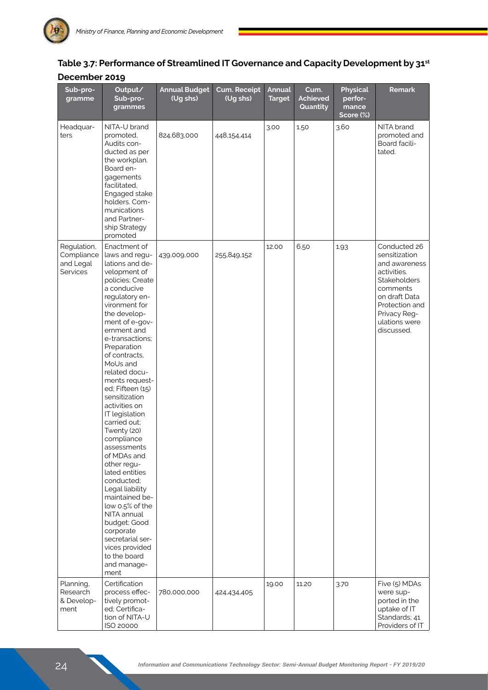| Sub-pro-<br>gramme                                 | Output/<br>Sub-pro-<br>grammes                                                                                                                                                                                                                                                                                                                                                                                                                                                                                                                                                                                                                                                | <b>Annual Budget</b><br>(Ug shs) | <b>Cum. Receipt</b><br>(Ug shs) | <b>Annual</b><br><b>Target</b> | Cum.<br><b>Achieved</b><br>Quantity | <b>Physical</b><br>perfor-<br>mance<br>Score (%) | <b>Remark</b>                                                                                                                                                               |
|----------------------------------------------------|-------------------------------------------------------------------------------------------------------------------------------------------------------------------------------------------------------------------------------------------------------------------------------------------------------------------------------------------------------------------------------------------------------------------------------------------------------------------------------------------------------------------------------------------------------------------------------------------------------------------------------------------------------------------------------|----------------------------------|---------------------------------|--------------------------------|-------------------------------------|--------------------------------------------------|-----------------------------------------------------------------------------------------------------------------------------------------------------------------------------|
| Headquar-<br>ters                                  | NITA-U brand<br>promoted,<br>Audits con-<br>ducted as per<br>the workplan.<br>Board en-<br>gagements<br>facilitated,<br>Engaged stake<br>holders. Com-<br>munications<br>and Partner-<br>ship Strategy<br>promoted                                                                                                                                                                                                                                                                                                                                                                                                                                                            | 824,683,000                      | 448,154,414                     | 3.00                           | 1.50                                | 3.60                                             | NITA brand<br>promoted and<br>Board facili-<br>tated.                                                                                                                       |
| Regulation,<br>Compliance<br>and Legal<br>Services | Enactment of<br>laws and requ-<br>lations and de-<br>velopment of<br>policies; Create<br>a conducive<br>regulatory en-<br>vironment for<br>the develop-<br>ment of e-gov-<br>ernment and<br>e-transactions;<br>Preparation<br>of contracts.<br>MoUs and<br>related docu-<br>ments request-<br>ed; Fifteen (15)<br>sensitization<br>activities on<br>IT legislation<br>carried out;<br>Twenty (20)<br>compliance<br>assessments<br>of MDAs and<br>other regu-<br>lated entities<br>conducted;<br>Legal liability<br>maintained be-<br>low 0.5% of the<br>NITA annual<br>budget; Good<br>corporate<br>secretarial ser-<br>vices provided<br>to the board<br>and manage-<br>ment | 439,009,000                      | 255,849,152                     | 12.00                          | 6.50                                | 1.93                                             | Conducted 26<br>sensitization<br>and awareness<br>activities.<br>Stakeholders<br>comments<br>on draft Data<br>Protection and<br>Privacy Reg-<br>ulations were<br>discussed. |
| Planning,<br>Research<br>& Develop-<br>ment        | Certification<br>process effec-<br>tively promot-<br>ed; Certifica-<br>tion of NITA-U<br>ISO 20000                                                                                                                                                                                                                                                                                                                                                                                                                                                                                                                                                                            | 780,000,000                      | 424,434,405                     | 19.00                          | 11.20                               | 3.70                                             | Five (5) MDAs<br>were sup-<br>ported in the<br>uptake of IT<br>Standards; 41<br>Providers of IT                                                                             |

#### **Table 3.7: Performance of Streamlined IT Governance and Capacity Development by 31st December 2019**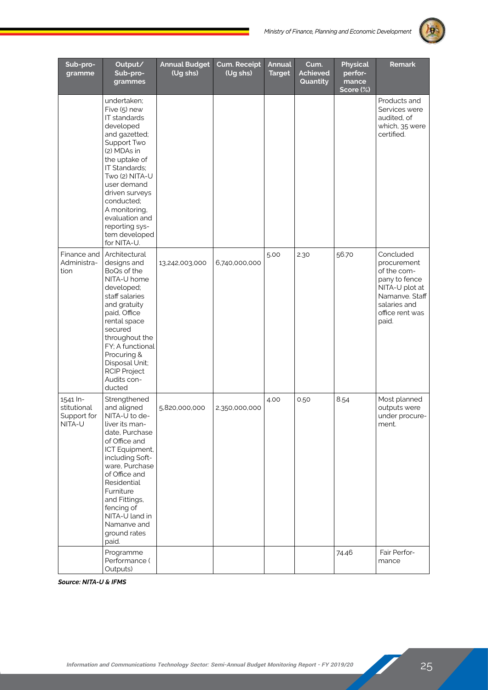

| Sub-pro-<br>gramme                               | Output/<br>Sub-pro-<br>grammes                                                                                                                                                                                                                                                                  | <b>Annual Budget</b><br>(Ug shs) | Cum. Receipt<br>(Ug shs) | <b>Annual</b><br><b>Target</b> | Cum.<br>Achieved<br>Quantity | <b>Physical</b><br>perfor-<br>mance<br>Score (%) | <b>Remark</b>                                                                                                                            |
|--------------------------------------------------|-------------------------------------------------------------------------------------------------------------------------------------------------------------------------------------------------------------------------------------------------------------------------------------------------|----------------------------------|--------------------------|--------------------------------|------------------------------|--------------------------------------------------|------------------------------------------------------------------------------------------------------------------------------------------|
|                                                  | undertaken;<br>Five (5) new<br>IT standards<br>developed<br>and gazetted;<br>Support Two<br>(2) MDAs in<br>the uptake of<br>IT Standards;<br>Two (2) NITA-U<br>user demand<br>driven surveys<br>conducted;<br>A monitoring,<br>evaluation and<br>reporting sys-<br>tem developed<br>for NITA-U. |                                  |                          |                                |                              |                                                  | Products and<br>Services were<br>audited, of<br>which, 35 were<br>certified.                                                             |
| Finance and<br>Administra-<br>tion               | Architectural<br>designs and<br>BoQs of the<br>NITA-U home<br>developed;<br>staff salaries<br>and gratuity<br>paid, Office<br>rental space<br>secured<br>throughout the<br>FY; A functional<br>Procuring &<br>Disposal Unit;<br><b>RCIP Project</b><br>Audits con-<br>ducted                    | 13,242,003,000                   | 6,740,000,000            | 5.00                           | 2.30                         | 56.70                                            | Concluded<br>procurement<br>of the com-<br>pany to fence<br>NITA-U plot at<br>Namanve. Staff<br>salaries and<br>office rent was<br>paid. |
| 1541 In-<br>stitutional<br>Support for<br>NITA-U | Strengthened<br>and aligned<br>NITA-U to de-<br>liver its man-<br>date, Purchase<br>of Office and<br>ICT Equipment,<br>including Soft-<br>ware, Purchase<br>of Office and<br>Residential<br>Furniture<br>and Fittings,<br>fencing of<br>NITA-U land in<br>Namanve and<br>ground rates<br>paid.  | 5,820,000,000                    | 2,350,000,000            | 4.00                           | 0.50                         | 8.54                                             | Most planned<br>outputs were<br>under procure-<br>ment.                                                                                  |
|                                                  | Programme<br>Performance (<br>Outputs)                                                                                                                                                                                                                                                          |                                  |                          |                                |                              | 74.46                                            | Fair Perfor-<br>mance                                                                                                                    |

*Source: NITA-U & IFMS*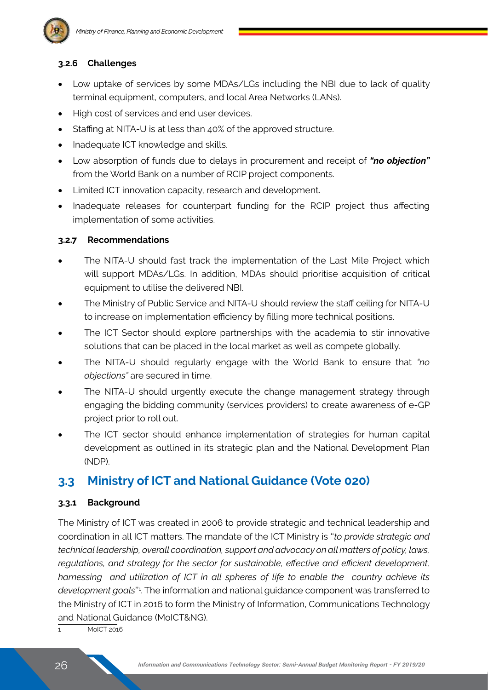#### **3.2.6 Challenges**

- Low uptake of services by some MDAs/LGs including the NBI due to lack of quality terminal equipment, computers, and local Area Networks (LANs).
- High cost of services and end user devices.
- Staffing at NITA-U is at less than 40% of the approved structure.
- Inadequate ICT knowledge and skills.
- Low absorption of funds due to delays in procurement and receipt of *"no objection"* from the World Bank on a number of RCIP project components.
- Limited ICT innovation capacity, research and development.
- Inadequate releases for counterpart funding for the RCIP project thus affecting implementation of some activities.

#### **3.2.7 Recommendations**

- The NITA-U should fast track the implementation of the Last Mile Project which will support MDAs/LGs. In addition, MDAs should prioritise acquisition of critical equipment to utilise the delivered NBI.
- The Ministry of Public Service and NITA-U should review the staff ceiling for NITA-U to increase on implementation efficiency by filling more technical positions.
- The ICT Sector should explore partnerships with the academia to stir innovative solutions that can be placed in the local market as well as compete globally.
- The NITA-U should regularly engage with the World Bank to ensure that "no *objections"* are secured in time.
- The NITA-U should urgently execute the change management strategy through engaging the bidding community (services providers) to create awareness of e-GP project prior to roll out.
- The ICT sector should enhance implementation of strategies for human capital development as outlined in its strategic plan and the National Development Plan (NDP).

## **3.3 Ministry of ICT and National Guidance (Vote 020)**

#### **3.3.1 Background**

The Ministry of ICT was created in 2006 to provide strategic and technical leadership and coordination in all ICT matters. The mandate of the ICT Ministry is ''*to provide strategic and technical leadership, overall coordination, support and advocacy on all matters of policy, laws, regulations, and strategy for the sector for sustainable, effective and efficient development, harnessing and utilization of ICT in all spheres of life to enable the country achieve its*  development goals"<sup>1</sup>. The information and national guidance component was transferred to the Ministry of ICT in 2016 to form the Ministry of Information, Communications Technology and National Guidance (MoICT&NG).

1 MoICT 2016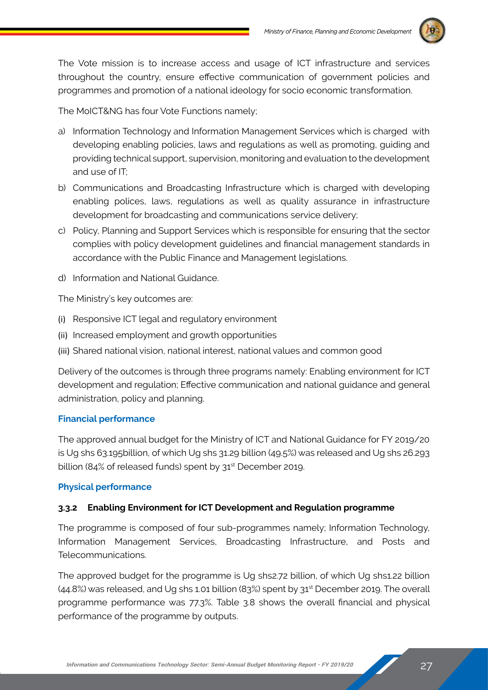

The Vote mission is to increase access and usage of ICT infrastructure and services throughout the country, ensure effective communication of government policies and programmes and promotion of a national ideology for socio economic transformation.

The MoICT&NG has four Vote Functions namely;

- a) Information Technology and Information Management Services which is charged with developing enabling policies, laws and regulations as well as promoting, guiding and providing technical support, supervision, monitoring and evaluation to the development and use of IT;
- b) Communications and Broadcasting Infrastructure which is charged with developing enabling polices, laws, regulations as well as quality assurance in infrastructure development for broadcasting and communications service delivery;
- c) Policy, Planning and Support Services which is responsible for ensuring that the sector complies with policy development guidelines and financial management standards in accordance with the Public Finance and Management legislations.
- d) Information and National Guidance.

The Ministry's key outcomes are:

- (i) Responsive ICT legal and regulatory environment
- (ii) Increased employment and growth opportunities
- (iii) Shared national vision, national interest, national values and common good

Delivery of the outcomes is through three programs namely: Enabling environment for ICT development and regulation; Effective communication and national guidance and general administration, policy and planning.

#### **Financial performance**

The approved annual budget for the Ministry of ICT and National Guidance for FY 2019/20 is Ug shs 63.195billion, of which Ug shs 31.29 billion (49.5%) was released and Ug shs 26.293 billion (84% of released funds) spent by 31<sup>st</sup> December 2019.

#### **Physical performance**

#### **3.3.2 Enabling Environment for ICT Development and Regulation programme**

The programme is composed of four sub-programmes namely; Information Technology, Information Management Services, Broadcasting Infrastructure, and Posts and Telecommunications.

The approved budget for the programme is Ug shs2.72 billion, of which Ug shs1.22 billion (44.8%) was released, and Ug shs 1.01 billion (83%) spent by 31st December 2019. The overall programme performance was 77.3%. Table 3.8 shows the overall financial and physical performance of the programme by outputs.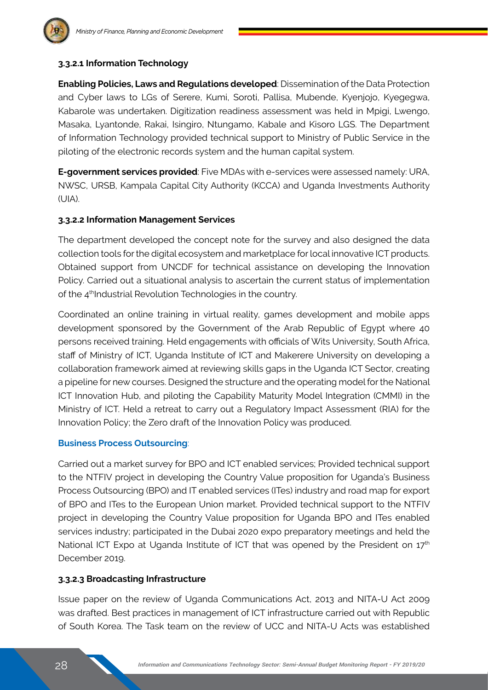

#### **3.3.2.1 Information Technology**

**Enabling Policies, Laws and Regulations developed**: Dissemination of the Data Protection and Cyber laws to LGs of Serere, Kumi, Soroti, Pallisa, Mubende, Kyenjojo, Kyegegwa, Kabarole was undertaken. Digitization readiness assessment was held in Mpigi, Lwengo, Masaka, Lyantonde, Rakai, Isingiro, Ntungamo, Kabale and Kisoro LGS. The Department of Information Technology provided technical support to Ministry of Public Service in the piloting of the electronic records system and the human capital system.

**E-government services provided**: Five MDAs with e-services were assessed namely: URA, NWSC, URSB, Kampala Capital City Authority (KCCA) and Uganda Investments Authority (UIA).

#### **3.3.2.2 Information Management Services**

The department developed the concept note for the survey and also designed the data collection tools for the digital ecosystem and marketplace for local innovative ICT products. Obtained support from UNCDF for technical assistance on developing the Innovation Policy. Carried out a situational analysis to ascertain the current status of implementation of the 4<sup>th</sup>Industrial Revolution Technologies in the country.

Coordinated an online training in virtual reality, games development and mobile apps development sponsored by the Government of the Arab Republic of Egypt where 40 persons received training. Held engagements with officials of Wits University, South Africa, staff of Ministry of ICT, Uganda Institute of ICT and Makerere University on developing a collaboration framework aimed at reviewing skills gaps in the Uganda ICT Sector, creating a pipeline for new courses. Designed the structure and the operating model for the National ICT Innovation Hub, and piloting the Capability Maturity Model Integration (CMMI) in the Ministry of ICT. Held a retreat to carry out a Regulatory Impact Assessment (RIA) for the Innovation Policy; the Zero draft of the Innovation Policy was produced.

#### **Business Process Outsourcing**:

Carried out a market survey for BPO and ICT enabled services; Provided technical support to the NTFIV project in developing the Country Value proposition for Uganda's Business Process Outsourcing (BPO) and IT enabled services (ITes) industry and road map for export of BPO and ITes to the European Union market. Provided technical support to the NTFIV project in developing the Country Value proposition for Uganda BPO and ITes enabled services industry; participated in the Dubai 2020 expo preparatory meetings and held the National ICT Expo at Uganda Institute of ICT that was opened by the President on 17<sup>th</sup> December 2019.

#### **3.3.2.3 Broadcasting Infrastructure**

Issue paper on the review of Uganda Communications Act, 2013 and NITA-U Act 2009 was drafted. Best practices in management of ICT infrastructure carried out with Republic of South Korea. The Task team on the review of UCC and NITA-U Acts was established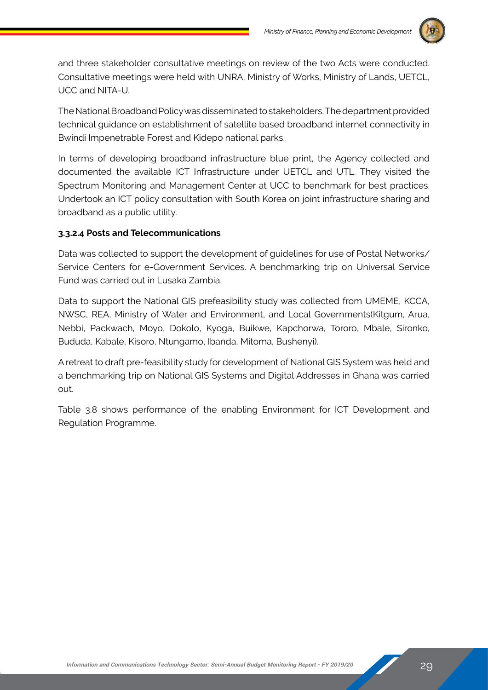

and three stakeholder consultative meetings on review of the two Acts were conducted. Consultative meetings were held with UNRA, Ministry of Works, Ministry of Lands, UETCL, UCC and NITA-U.

The National Broadband Policy was disseminated to stakeholders. The department provided technical guidance on establishment of satellite based broadband internet connectivity in Bwindi Impenetrable Forest and Kidepo national parks.

In terms of developing broadband infrastructure blue print, the Agency collected and documented the available ICT Infrastructure under UETCL and UTL. They visited the Spectrum Monitoring and Management Center at UCC to benchmark for best practices. Undertook an ICT policy consultation with South Korea on joint infrastructure sharing and broadband as a public utility.

#### **3.3.2.4 Posts and Telecommunications**

Data was collected to support the development of guidelines for use of Postal Networks/ Service Centers for e-Government Services. A benchmarking trip on Universal Service Fund was carried out in Lusaka Zambia.

Data to support the National GIS prefeasibility study was collected from UMEME, KCCA, NWSC, REA, Ministry of Water and Environment, and Local Governments(Kitgum, Arua, Nebbi, Packwach, Moyo, Dokolo, Kyoga, Buikwe, Kapchorwa, Tororo, Mbale, Sironko, Bududa, Kabale, Kisoro, Ntungamo, Ibanda, Mitoma, Bushenyi).

A retreat to draft pre-feasibility study for development of National GIS System was held and a benchmarking trip on National GIS Systems and Digital Addresses in Ghana was carried out.

Table 3.8 shows performance of the enabling Environment for ICT Development and Regulation Programme.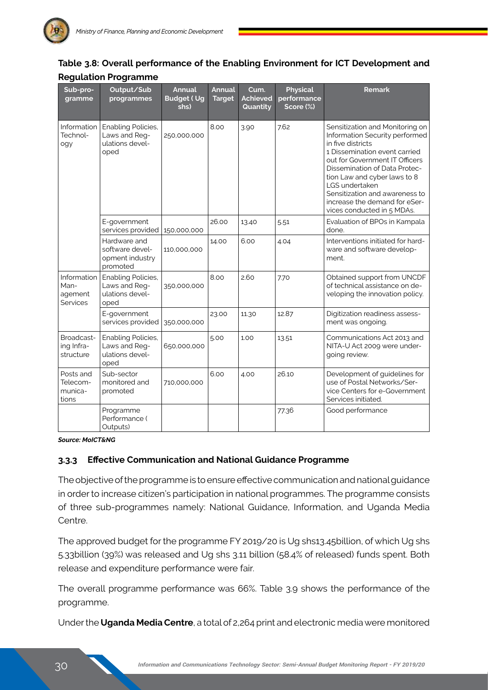| Sub-pro-<br>gramme                                | Output/Sub<br>programmes                                              | <b>Annual</b><br><b>Budget (Ug</b><br>shs) | <b>Annual</b><br><b>Target</b> | Cum.<br><b>Achieved</b><br>Quantity | <b>Physical</b><br>performance<br>Score (%) | <b>Remark</b>                                                                                                                                                                                                                                                                                                                                 |
|---------------------------------------------------|-----------------------------------------------------------------------|--------------------------------------------|--------------------------------|-------------------------------------|---------------------------------------------|-----------------------------------------------------------------------------------------------------------------------------------------------------------------------------------------------------------------------------------------------------------------------------------------------------------------------------------------------|
| Information<br>Technol-<br>ogy                    | Enabling Policies,<br>Laws and Reg-<br>ulations devel-<br>oped        | 250,000,000                                | 8.00                           | 3.90                                | 7.62                                        | Sensitization and Monitoring on<br>Information Security performed<br>in five districts<br>1 Dissemination event carried<br>out for Government IT Officers<br>Dissemination of Data Protec-<br>tion Law and cyber laws to 8<br>LGS undertaken<br>Sensitization and awareness to<br>increase the demand for eSer-<br>vices conducted in 5 MDAs. |
|                                                   | E-government<br>services provided                                     | 150,000,000                                | 26.00                          | 13.40                               | 5.51                                        | Evaluation of BPOs in Kampala<br>done.                                                                                                                                                                                                                                                                                                        |
|                                                   | Hardware and<br>software devel-<br>opment industry<br>promoted        | 110,000,000                                | 14.00                          | 6.00                                | 4.04                                        | Interventions initiated for hard-<br>ware and software develop-<br>ment.                                                                                                                                                                                                                                                                      |
| Information<br>Man-<br>agement<br><b>Services</b> | <b>Enabling Policies,</b><br>Laws and Reg-<br>ulations devel-<br>oped | 350,000,000                                | 8.00                           | 2.60                                | 7.70                                        | Obtained support from UNCDF<br>of technical assistance on de-<br>veloping the innovation policy.                                                                                                                                                                                                                                              |
|                                                   | E-government<br>services provided                                     | 350,000,000                                | 23.00                          | 11.30                               | 12.87                                       | Digitization readiness assess-<br>ment was ongoing.                                                                                                                                                                                                                                                                                           |
| Broadcast-<br>ing Infra-<br>structure             | Enabling Policies,<br>Laws and Reg-<br>ulations devel-<br>oped        | 650,000,000                                | 5.00                           | 1.00                                | 13.51                                       | Communications Act 2013 and<br>NITA-U Act 2009 were under-<br>going review.                                                                                                                                                                                                                                                                   |
| Posts and<br>Telecom-<br>munica-<br>tions         | Sub-sector<br>monitored and<br>promoted                               | 710,000,000                                | 6.00                           | 4.00                                | 26.10                                       | Development of guidelines for<br>use of Postal Networks/Ser-<br>vice Centers for e-Government<br>Services initiated.                                                                                                                                                                                                                          |
|                                                   | Programme<br>Performance (<br>Outputs)                                |                                            |                                |                                     | 77.36                                       | Good performance                                                                                                                                                                                                                                                                                                                              |

#### **Table 3.8: Overall performance of the Enabling Environment for ICT Development and Regulation Programme**

*Source: MoICT&NG*

#### **3.3.3 Effective Communication and National Guidance Programme**

The objective of the programme is to ensure effective communication and national guidance in order to increase citizen's participation in national programmes. The programme consists of three sub-programmes namely: National Guidance, Information, and Uganda Media Centre.

The approved budget for the programme FY 2019/20 is Ug shs13.45billion, of which Ug shs 5.33billion (39%) was released and Ug shs 3.11 billion (58.4% of released) funds spent. Both release and expenditure performance were fair.

The overall programme performance was 66%. Table 3.9 shows the performance of the programme.

Under the **Uganda Media Centre**, a total of 2,264 print and electronic media were monitored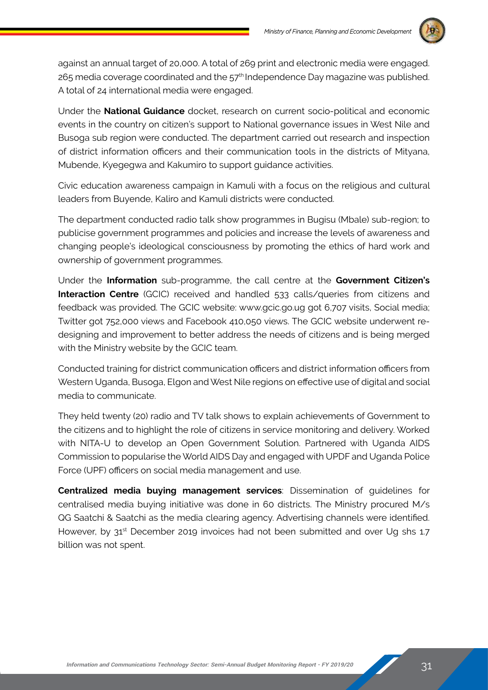

against an annual target of 20,000. A total of 269 print and electronic media were engaged.  $265$  media coverage coordinated and the  $57<sup>th</sup>$  Independence Day magazine was published. A total of 24 international media were engaged.

Under the **National Guidance** docket, research on current socio-political and economic events in the country on citizen's support to National governance issues in West Nile and Busoga sub region were conducted. The department carried out research and inspection of district information officers and their communication tools in the districts of Mityana, Mubende, Kyegegwa and Kakumiro to support guidance activities.

Civic education awareness campaign in Kamuli with a focus on the religious and cultural leaders from Buyende, Kaliro and Kamuli districts were conducted.

The department conducted radio talk show programmes in Bugisu (Mbale) sub-region; to publicise government programmes and policies and increase the levels of awareness and changing people's ideological consciousness by promoting the ethics of hard work and ownership of government programmes.

Under the **Information** sub-programme, the call centre at the **Government Citizen's Interaction Centre** (GCIC) received and handled 533 calls/queries from citizens and feedback was provided. The GCIC website: www.gcic.go.ug got 6,707 visits, Social media; Twitter got 752,000 views and Facebook 410,050 views. The GCIC website underwent redesigning and improvement to better address the needs of citizens and is being merged with the Ministry website by the GCIC team.

Conducted training for district communication officers and district information officers from Western Uganda, Busoga, Elgon and West Nile regions on effective use of digital and social media to communicate.

They held twenty (20) radio and TV talk shows to explain achievements of Government to the citizens and to highlight the role of citizens in service monitoring and delivery. Worked with NITA-U to develop an Open Government Solution. Partnered with Uganda AIDS Commission to popularise the World AIDS Day and engaged with UPDF and Uganda Police Force (UPF) officers on social media management and use.

**Centralized media buying management services**: Dissemination of guidelines for centralised media buying initiative was done in 60 districts. The Ministry procured M/s QG Saatchi & Saatchi as the media clearing agency. Advertising channels were identified. However, by 31<sup>st</sup> December 2019 invoices had not been submitted and over Ug shs 1.7 billion was not spent.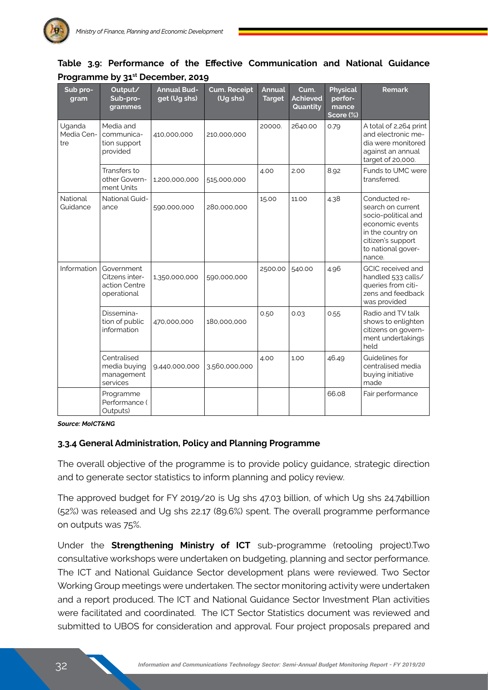| Sub pro-<br>gram            | Output/<br>Sub-pro-<br>grammes                               | <b>Annual Bud-</b><br>get (Ug shs) | <b>Cum. Receipt</b><br>(Ug shs) | <b>Annual</b><br><b>Target</b> | Cum.<br><b>Achieved</b><br>Quantity | <b>Physical</b><br>perfor-<br>mance<br>Score (%) | <b>Remark</b>                                                                                                                                          |
|-----------------------------|--------------------------------------------------------------|------------------------------------|---------------------------------|--------------------------------|-------------------------------------|--------------------------------------------------|--------------------------------------------------------------------------------------------------------------------------------------------------------|
| Uganda<br>Media Cen-<br>tre | Media and<br>communica-<br>tion support<br>provided          | 410,000,000                        | 210,000,000                     | 20000.                         | 2640.00                             | 0.79                                             | A total of 2,264 print<br>and electronic me-<br>dia were monitored<br>against an annual<br>target of 20,000.                                           |
|                             | Transfers to<br>other Govern-<br>ment Units                  | 1,200,000,000                      | 515,000,000                     | 4.00                           | 2.00                                | 8.92                                             | Funds to UMC were<br>transferred.                                                                                                                      |
| National<br>Guidance        | National Guid-<br>ance                                       | 590,000,000                        | 280,000,000                     | 15.00                          | 11.00                               | 4.38                                             | Conducted re-<br>search on current<br>socio-political and<br>economic events<br>in the country on<br>citizen's support<br>to national gover-<br>nance. |
| Information                 | Government<br>Citzens inter-<br>action Centre<br>operational | 1,350,000,000                      | 590,000,000                     | 2500.00                        | 540.00                              | 4.96                                             | <b>GCIC</b> received and<br>handled 533 calls/<br>queries from citi-<br>zens and feedback<br>was provided                                              |
|                             | Dissemina-<br>tion of public<br>information                  | 470,000,000                        | 180,000,000                     | 0.50                           | 0.03                                | 0.55                                             | Radio and TV talk<br>shows to enlighten<br>citizens on govern-<br>ment undertakings<br>held                                                            |
|                             | Centralised<br>media buying<br>management<br>services        | 9,440,000,000                      | 3,560,000,000                   | 4.00                           | 1.00                                | 46.49                                            | Guidelines for<br>centralised media<br>buying initiative<br>made                                                                                       |
|                             | Programme<br>Performance (<br>Outputs)                       |                                    |                                 |                                |                                     | 66.08                                            | Fair performance                                                                                                                                       |

#### **Table 3.9: Performance of the Effective Communication and National Guidance Programme by 31st December, 2019**

*Source: MoICT&NG*

#### **3.3.4 General Administration, Policy and Planning Programme**

The overall objective of the programme is to provide policy guidance, strategic direction and to generate sector statistics to inform planning and policy review.

The approved budget for FY 2019/20 is Ug shs 47.03 billion, of which Ug shs 24.74billion (52%) was released and Ug shs 22.17 (89.6%) spent. The overall programme performance on outputs was 75%.

Under the **Strengthening Ministry of ICT** sub-programme (retooling project).Two consultative workshops were undertaken on budgeting, planning and sector performance. The ICT and National Guidance Sector development plans were reviewed. Two Sector Working Group meetings were undertaken. The sector monitoring activity were undertaken and a report produced. The ICT and National Guidance Sector Investment Plan activities were facilitated and coordinated. The ICT Sector Statistics document was reviewed and submitted to UBOS for consideration and approval. Four project proposals prepared and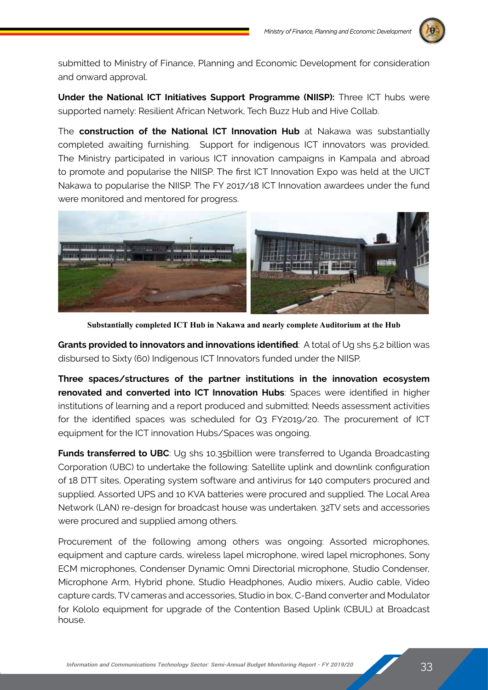

submitted to Ministry of Finance, Planning and Economic Development for consideration and onward approval.

**Under the National ICT Initiatives Support Programme (NIISP):** Three ICT hubs were supported namely: Resilient African Network, Tech Buzz Hub and Hive Collab.

The **construction of the National ICT Innovation Hub** at Nakawa was substantially completed awaiting furnishing. Support for indigenous ICT innovators was provided. The Ministry participated in various ICT innovation campaigns in Kampala and abroad to promote and popularise the NIISP. The first ICT Innovation Expo was held at the UICT Nakawa to popularise the NIISP. The FY 2017/18 ICT Innovation awardees under the fund were monitored and mentored for progress.



**Substantially completed ICT Hub in Nakawa and nearly complete Auditorium at the Hub**

**Grants provided to innovators and innovations identified**: A total of Ug shs 5.2 billion was disbursed to Sixty (60) Indigenous ICT Innovators funded under the NIISP.

**Three spaces/structures of the partner institutions in the innovation ecosystem renovated and converted into ICT Innovation Hubs**: Spaces were identified in higher institutions of learning and a report produced and submitted; Needs assessment activities for the identified spaces was scheduled for Q3 FY2019/20. The procurement of ICT equipment for the ICT innovation Hubs/Spaces was ongoing.

**Funds transferred to UBC**: Ug shs 10.35 billion were transferred to Uganda Broadcasting Corporation (UBC) to undertake the following: Satellite uplink and downlink configuration of 18 DTT sites, Operating system software and antivirus for 140 computers procured and supplied. Assorted UPS and 10 KVA batteries were procured and supplied. The Local Area Network (LAN) re-design for broadcast house was undertaken. 32TV sets and accessories were procured and supplied among others.

Procurement of the following among others was ongoing: Assorted microphones, equipment and capture cards, wireless lapel microphone, wired lapel microphones, Sony ECM microphones, Condenser Dynamic Omni Directorial microphone, Studio Condenser, Microphone Arm, Hybrid phone, Studio Headphones, Audio mixers, Audio cable, Video capture cards, TV cameras and accessories, Studio in box, C-Band converter and Modulator for Kololo equipment for upgrade of the Contention Based Uplink (CBUL) at Broadcast house.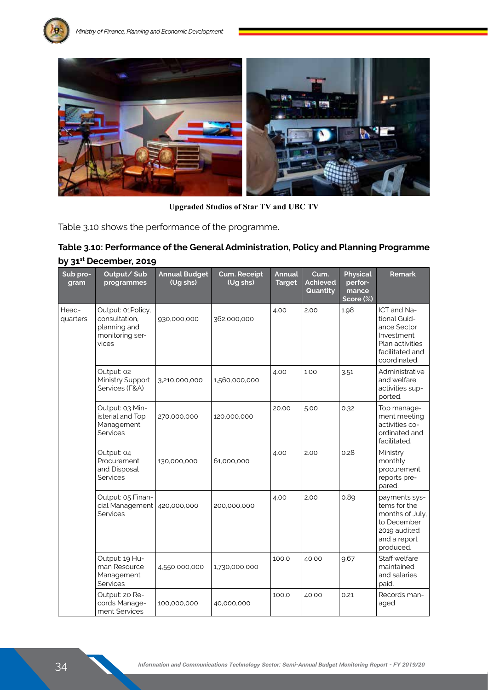



**Upgraded Studios of Star TV and UBC TV**

Table 3.10 shows the performance of the programme.

### **Table 3.10: Performance of the General Administration, Policy and Planning Programme by 31st December, 2019**

| Sub pro-<br>gram  | Output/Sub<br>programmes                                                       | <b>Annual Budget</b><br>(Ug shs) | Cum. Receipt<br>(Ug shs) | <b>Annual</b><br><b>Target</b> | Cum.<br><b>Achieved</b><br>Quantity | <b>Physical</b><br>perfor-<br>mance<br>Score (%) | <b>Remark</b>                                                                                                  |
|-------------------|--------------------------------------------------------------------------------|----------------------------------|--------------------------|--------------------------------|-------------------------------------|--------------------------------------------------|----------------------------------------------------------------------------------------------------------------|
| Head-<br>quarters | Output: 01Policy,<br>consultation,<br>planning and<br>monitoring ser-<br>vices | 930,000,000                      | 362,000,000              | 4.00                           | 2.00                                | 1.98                                             | ICT and Na-<br>tional Guid-<br>ance Sector<br>Investment<br>Plan activities<br>facilitated and<br>coordinated. |
|                   | Output: 02<br>Ministry Support<br>Services (F&A)                               | 3,210,000,000                    | 1,560,000,000            | 4.00                           | 1.00                                | 3.51                                             | Administrative<br>and welfare<br>activities sup-<br>ported.                                                    |
|                   | Output: 03 Min-<br>isterial and Top<br>Management<br><b>Services</b>           | 270,000,000                      | 120,000,000              | 20.00                          | 5.00                                | 0.32                                             | Top manage-<br>ment meeting<br>activities co-<br>ordinated and<br>facilitated.                                 |
|                   | Output: 04<br>Procurement<br>and Disposal<br>Services                          | 130,000,000                      | 61,000,000               | 4.00                           | 2.00                                | 0.28                                             | Ministry<br>monthly<br>procurement<br>reports pre-<br>pared.                                                   |
|                   | Output: 05 Finan-<br>cial Management<br>Services                               | 420,000,000                      | 200,000,000              | 4.00                           | 2.00                                | 0.89                                             | payments sys-<br>tems for the<br>months of July,<br>to December<br>2019 audited<br>and a report<br>produced.   |
|                   | Output: 19 Hu-<br>man Resource<br>Management<br>Services                       | 4,550,000,000                    | 1,730,000,000            | 100.0                          | 40.00                               | 9.67                                             | Staff welfare<br>maintained<br>and salaries<br>paid.                                                           |
|                   | Output: 20 Re-<br>cords Manage-<br>ment Services                               | 100,000,000                      | 40,000,000               | 100.0                          | 40.00                               | 0.21                                             | Records man-<br>aged                                                                                           |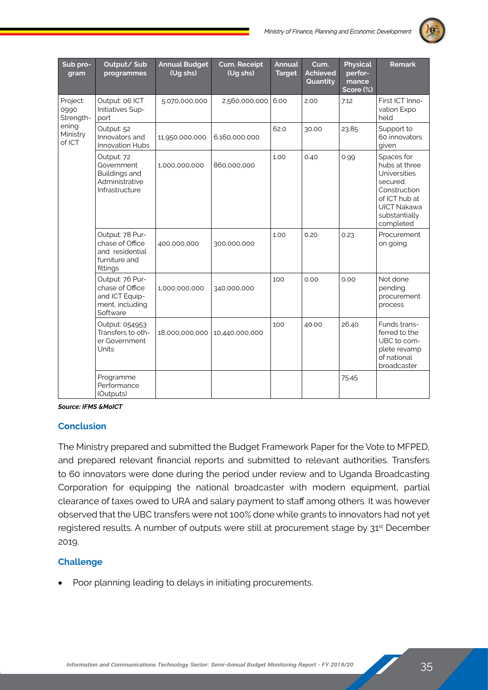

| Sub pro-<br>gram              | Output/Sub<br>programmes                                                            | <b>Annual Budget</b><br>(Ug shs) | <b>Cum. Receipt</b><br>(Ug shs) | <b>Annual</b><br><b>Target</b> | Cum.<br><b>Achieved</b><br>Quantity | <b>Physical</b><br>perfor-<br>mance<br>Score (%) | Remark                                                                                                                                       |
|-------------------------------|-------------------------------------------------------------------------------------|----------------------------------|---------------------------------|--------------------------------|-------------------------------------|--------------------------------------------------|----------------------------------------------------------------------------------------------------------------------------------------------|
| Project:<br>0990<br>Strength- | Output: 06 ICT<br>Initiatives Sup-<br>port                                          | 5,070,000,000                    | 2,560,000,000                   | 6.00                           | 2.00                                | 7.12                                             | First ICT Inno-<br>vation Expo<br>held                                                                                                       |
| ening<br>Ministry<br>of ICT   | Output: 52<br>Innovators and<br>Innovation Hubs                                     | 11,950,000,000                   | 6,160,000,000                   | 62.0                           | 30.00                               | 23.85                                            | Support to<br>60 innovators<br>given                                                                                                         |
|                               | Output: 72<br>Government<br>Buildings and<br>Administrative<br>Infrastructure       | 1,000,000,000                    | 860,000,000                     | 1.00                           | 0.40                                | 0.99                                             | Spaces for<br>hubs at three<br>Universities<br>secured.<br>Construction<br>of ICT hub at<br><b>UICT Nakawa</b><br>substantially<br>completed |
|                               | Output: 78 Pur-<br>chase of Office<br>and residential<br>furniture and<br>fittings  | 400,000,000                      | 300,000,000                     | 1.00                           | 0.20                                | 0.23                                             | Procurement<br>on going                                                                                                                      |
|                               | Output: 76 Pur-<br>chase of Office<br>and ICT Equip-<br>ment, including<br>Software | 1,000,000,000                    | 340,000,000                     | 100                            | 0.00                                | 0.00                                             | Not done<br>pending<br>procurement<br>process                                                                                                |
|                               | Output: 054953<br>Transfers to oth-<br>er Government<br>Units                       | 18,000,000,000                   | 10,440,000,000                  | 100                            | 40.00                               | 26.40                                            | Funds trans-<br>ferred to the<br>UBC to com-<br>plete revamp<br>of national<br>broadcaster                                                   |
|                               | Programme<br>Performance<br>(Outputs)                                               |                                  |                                 |                                |                                     | 75.45                                            |                                                                                                                                              |

*Source: IFMS &MoICT*

#### **Conclusion**

The Ministry prepared and submitted the Budget Framework Paper for the Vote to MFPED, and prepared relevant financial reports and submitted to relevant authorities. Transfers to 60 innovators were done during the period under review and to Uganda Broadcasting Corporation for equipping the national broadcaster with modern equipment, partial clearance of taxes owed to URA and salary payment to staff among others. It was however observed that the UBC transfers were not 100% done while grants to innovators had not yet registered results. A number of outputs were still at procurement stage by 31<sup>st</sup> December 2019.

#### **Challenge**

Poor planning leading to delays in initiating procurements.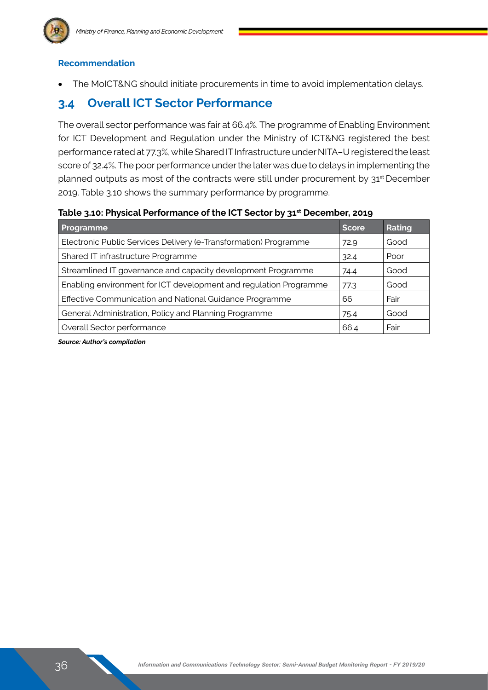

#### **Recommendation**

The MoICT&NG should initiate procurements in time to avoid implementation delays.

## **3.4 Overall ICT Sector Performance**

The overall sector performance was fair at 66.4%. The programme of Enabling Environment for ICT Development and Regulation under the Ministry of ICT&NG registered the best performance rated at 77.3%, while Shared IT Infrastructure under NITA–U registered the least score of 32.4%. The poor performance under the later was due to delays in implementing the planned outputs as most of the contracts were still under procurement by 31<sup>st</sup> December 2019. Table 3.10 shows the summary performance by programme.

#### **Table 3.10: Physical Performance of the ICT Sector by 31st December, 2019**

| Programme                                                         | Score | Rating |
|-------------------------------------------------------------------|-------|--------|
| Electronic Public Services Delivery (e-Transformation) Programme  | 72.9  | Good   |
| Shared IT infrastructure Programme                                | 32.4  | Poor   |
| Streamlined IT governance and capacity development Programme      | 74.4  | Good   |
| Enabling environment for ICT development and regulation Programme | 77.3  | Good   |
| Effective Communication and National Guidance Programme           | 66    | Fair   |
| General Administration, Policy and Planning Programme             | 75.4  | Good   |
| Overall Sector performance                                        | 66.4  | Fair   |

*Source: Author's compilation*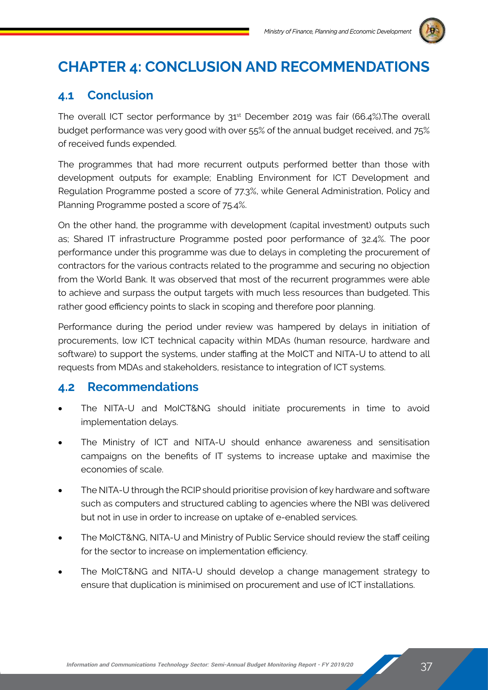

## **Chapter 4: Conclusion and Recommendations**

## **4.1 Conclusion**

The overall ICT sector performance by  $31<sup>st</sup>$  December 2019 was fair (66.4%). The overall budget performance was very good with over 55% of the annual budget received, and 75% of received funds expended.

The programmes that had more recurrent outputs performed better than those with development outputs for example; Enabling Environment for ICT Development and Regulation Programme posted a score of 77.3%, while General Administration, Policy and Planning Programme posted a score of 75.4%.

On the other hand, the programme with development (capital investment) outputs such as; Shared IT infrastructure Programme posted poor performance of 32.4%. The poor performance under this programme was due to delays in completing the procurement of contractors for the various contracts related to the programme and securing no objection from the World Bank. It was observed that most of the recurrent programmes were able to achieve and surpass the output targets with much less resources than budgeted. This rather good efficiency points to slack in scoping and therefore poor planning.

Performance during the period under review was hampered by delays in initiation of procurements, low ICT technical capacity within MDAs (human resource, hardware and software) to support the systems, under staffing at the MoICT and NITA-U to attend to all requests from MDAs and stakeholders, resistance to integration of ICT systems.

## **4.2 Recommendations**

- The NITA-U and MoICT&NG should initiate procurements in time to avoid implementation delays.
- The Ministry of ICT and NITA-U should enhance awareness and sensitisation campaigns on the benefits of IT systems to increase uptake and maximise the economies of scale.
- The NITA-U through the RCIP should prioritise provision of key hardware and software such as computers and structured cabling to agencies where the NBI was delivered but not in use in order to increase on uptake of e-enabled services.
- The MoICT&NG, NITA-U and Ministry of Public Service should review the staff ceiling for the sector to increase on implementation efficiency.
- The MoICT&NG and NITA-U should develop a change management strategy to ensure that duplication is minimised on procurement and use of ICT installations.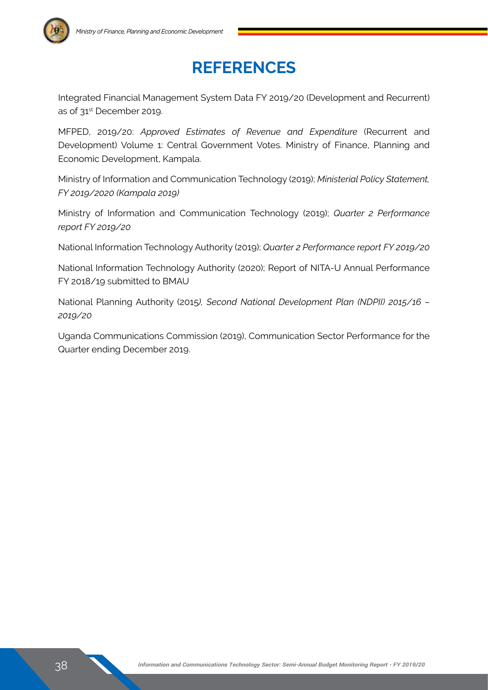## **References**

Integrated Financial Management System Data FY 2019/20 (Development and Recurrent) as of 31<sup>st</sup> December 2019.

MFPED, 2019/20: *Approved Estimates of Revenue and Expenditure* (Recurrent and Development) Volume 1: Central Government Votes. Ministry of Finance, Planning and Economic Development, Kampala.

Ministry of Information and Communication Technology (2019); *Ministerial Policy Statement, FY 2019/2020 (Kampala 2019)* 

Ministry of Information and Communication Technology (2019); *Quarter 2 Performance report FY 2019/20*

National Information Technology Authority (2019); *Quarter 2 Performance report FY 2019/20*

National Information Technology Authority (2020); Report of NITA-U Annual Performance FY 2018/19 submitted to BMAU

National Planning Authority (2015*), Second National Development Plan (NDPII) 2015/16 – 2019/20* 

Uganda Communications Commission (2019), Communication Sector Performance for the Quarter ending December 2019.